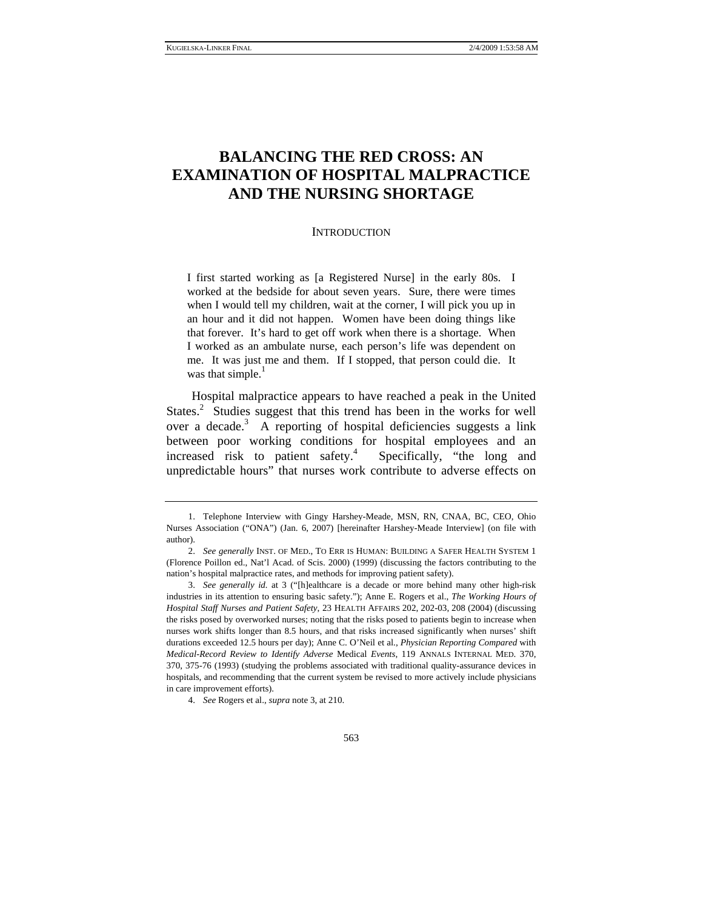# **BALANCING THE RED CROSS: AN EXAMINATION OF HOSPITAL MALPRACTICE AND THE NURSING SHORTAGE**

#### **INTRODUCTION**

I first started working as [a Registered Nurse] in the early 80s. I worked at the bedside for about seven years. Sure, there were times when I would tell my children, wait at the corner, I will pick you up in an hour and it did not happen. Women have been doing things like that forever. It's hard to get off work when there is a shortage. When I worked as an ambulate nurse, each person's life was dependent on me. It was just me and them. If I stopped, that person could die. It was that simple. $<sup>1</sup>$ </sup>

Hospital malpractice appears to have reached a peak in the United States.<sup>2</sup> Studies suggest that this trend has been in the works for well over a decade.<sup>3</sup> A reporting of hospital deficiencies suggests a link between poor working conditions for hospital employees and an increased risk to patient safety.<sup>4</sup> Specifically, "the long and unpredictable hours" that nurses work contribute to adverse effects on

 <sup>1.</sup> Telephone Interview with Gingy Harshey-Meade, MSN, RN, CNAA, BC, CEO, Ohio Nurses Association ("ONA") (Jan. 6, 2007) [hereinafter Harshey-Meade Interview] (on file with author).

<sup>2.</sup> *See generally* INST. OF MED., TO ERR IS HUMAN: BUILDING A SAFER HEALTH SYSTEM 1 (Florence Poillon ed., Nat'l Acad. of Scis. 2000) (1999) (discussing the factors contributing to the nation's hospital malpractice rates, and methods for improving patient safety).

<sup>3.</sup> *See generally id.* at 3 ("[h]ealthcare is a decade or more behind many other high-risk industries in its attention to ensuring basic safety."); Anne E. Rogers et al., *The Working Hours of Hospital Staff Nurses and Patient Safety*, 23 HEALTH AFFAIRS 202, 202-03, 208 (2004) (discussing the risks posed by overworked nurses; noting that the risks posed to patients begin to increase when nurses work shifts longer than 8.5 hours, and that risks increased significantly when nurses' shift durations exceeded 12.5 hours per day); Anne C. O'Neil et al., *Physician Reporting Compared* with *Medical-Record Review to Identify Adverse* Medical *Events*, 119 ANNALS INTERNAL MED. 370, 370, 375-76 (1993) (studying the problems associated with traditional quality-assurance devices in hospitals, and recommending that the current system be revised to more actively include physicians in care improvement efforts).

<sup>4.</sup> *See* Rogers et al., *supra* note 3, at 210.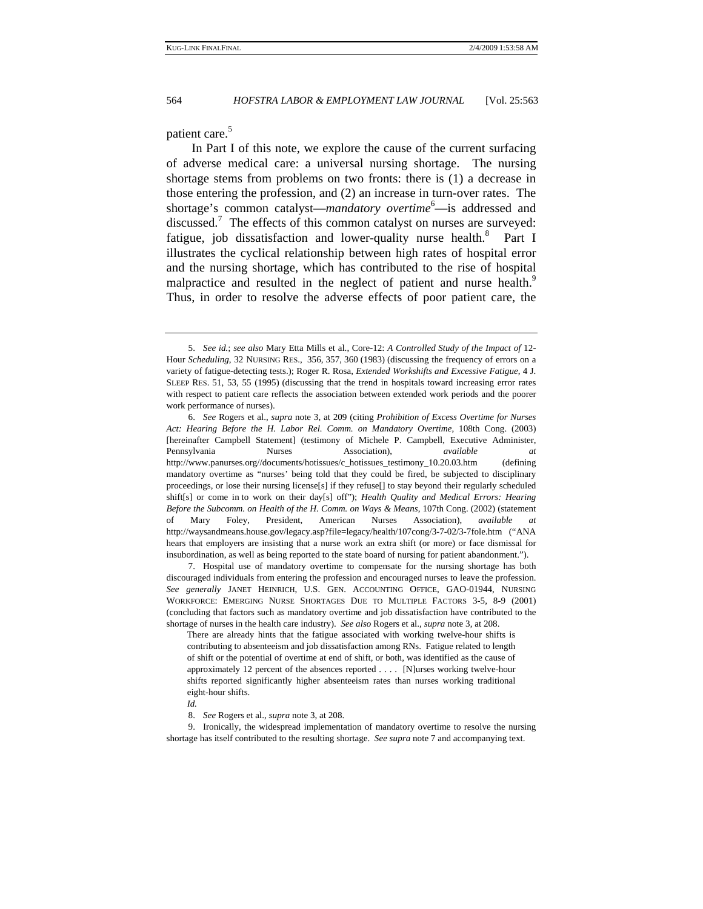patient care.<sup>5</sup>

In Part I of this note, we explore the cause of the current surfacing of adverse medical care: a universal nursing shortage. The nursing shortage stems from problems on two fronts: there is (1) a decrease in those entering the profession, and (2) an increase in turn-over rates. The shortage's common catalyst—*mandatory overtime*<sup>6</sup>—is addressed and discussed.<sup>7</sup> The effects of this common catalyst on nurses are surveyed: fatigue, job dissatisfaction and lower-quality nurse health.<sup>8</sup> Part I illustrates the cyclical relationship between high rates of hospital error and the nursing shortage, which has contributed to the rise of hospital malpractice and resulted in the neglect of patient and nurse health.<sup>9</sup> Thus, in order to resolve the adverse effects of poor patient care, the

 7. Hospital use of mandatory overtime to compensate for the nursing shortage has both discouraged individuals from entering the profession and encouraged nurses to leave the profession. *See generally* JANET HEINRICH, U.S. GEN. ACCOUNTING OFFICE, GAO-01944, NURSING WORKFORCE: EMERGING NURSE SHORTAGES DUE TO MULTIPLE FACTORS 3-5, 8-9 (2001) (concluding that factors such as mandatory overtime and job dissatisfaction have contributed to the shortage of nurses in the health care industry). *See also* Rogers et al., *supra* note 3, at 208.

There are already hints that the fatigue associated with working twelve-hour shifts is contributing to absenteeism and job dissatisfaction among RNs. Fatigue related to length of shift or the potential of overtime at end of shift, or both, was identified as the cause of approximately 12 percent of the absences reported . . . . [N]urses working twelve-hour shifts reported significantly higher absenteeism rates than nurses working traditional eight-hour shifts.

*Id.*

8. *See* Rogers et al., *supra* note 3, at 208.

 9. Ironically, the widespread implementation of mandatory overtime to resolve the nursing shortage has itself contributed to the resulting shortage. *See supra* note 7 and accompanying text.

<sup>5.</sup> *See id.*; *see also* Mary Etta Mills et al., Core-12: *A Controlled Study of the Impact of* 12- Hour *Scheduling*, 32 NURSING RES., 356, 357, 360 (1983) (discussing the frequency of errors on a variety of fatigue-detecting tests.); Roger R. Rosa, *Extended Workshifts and Excessive Fatigue*, 4 J. SLEEP RES. 51, 53, 55 (1995) (discussing that the trend in hospitals toward increasing error rates with respect to patient care reflects the association between extended work periods and the poorer work performance of nurses).

<sup>6.</sup> *See* Rogers et al., *supra* note 3, at 209 (citing *Prohibition of Excess Overtime for Nurses Act: Hearing Before the H. Labor Rel. Comm. on Mandatory Overtime*, 108th Cong. (2003) [hereinafter Campbell Statement] (testimony of Michele P. Campbell, Executive Administer, Pennsylvania Nurses Association), *available at* http://www.panurses.org//documents/hotissues/c\_hotissues\_testimony\_10.20.03.htm (defining mandatory overtime as "nurses' being told that they could be fired, be subjected to disciplinary proceedings, or lose their nursing license[s] if they refuse[] to stay beyond their regularly scheduled shift[s] or come in to work on their day[s] off"); *Health Quality and Medical Errors: Hearing Before the Subcomm. on Health of the H. Comm. on Ways & Means*, 107th Cong. (2002) (statement of Mary Foley, President, American Nurses Association), *available at* http://waysandmeans.house.gov/legacy.asp?file=legacy/health/107cong/3-7-02/3-7fole.htm ("ANA hears that employers are insisting that a nurse work an extra shift (or more) or face dismissal for insubordination, as well as being reported to the state board of nursing for patient abandonment.").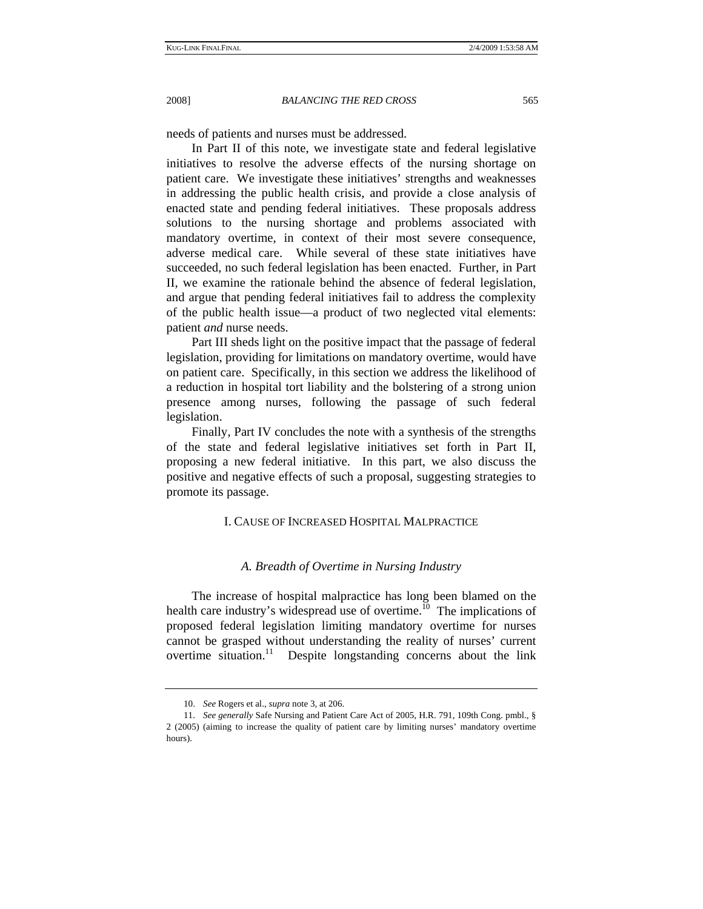needs of patients and nurses must be addressed.

In Part II of this note, we investigate state and federal legislative initiatives to resolve the adverse effects of the nursing shortage on patient care. We investigate these initiatives' strengths and weaknesses in addressing the public health crisis, and provide a close analysis of enacted state and pending federal initiatives. These proposals address solutions to the nursing shortage and problems associated with mandatory overtime, in context of their most severe consequence, adverse medical care. While several of these state initiatives have succeeded, no such federal legislation has been enacted. Further, in Part II, we examine the rationale behind the absence of federal legislation, and argue that pending federal initiatives fail to address the complexity of the public health issue—a product of two neglected vital elements: patient *and* nurse needs.

Part III sheds light on the positive impact that the passage of federal legislation, providing for limitations on mandatory overtime, would have on patient care. Specifically, in this section we address the likelihood of a reduction in hospital tort liability and the bolstering of a strong union presence among nurses, following the passage of such federal legislation.

Finally, Part IV concludes the note with a synthesis of the strengths of the state and federal legislative initiatives set forth in Part II, proposing a new federal initiative. In this part, we also discuss the positive and negative effects of such a proposal, suggesting strategies to promote its passage.

# I. CAUSE OF INCREASED HOSPITAL MALPRACTICE

# *A. Breadth of Overtime in Nursing Industry*

The increase of hospital malpractice has long been blamed on the health care industry's widespread use of overtime.<sup>10</sup> The implications of proposed federal legislation limiting mandatory overtime for nurses cannot be grasped without understanding the reality of nurses' current overtime situation.<sup>11</sup> Despite longstanding concerns about the link

<sup>10.</sup> *See* Rogers et al., *supra* note 3, at 206.

<sup>11.</sup> *See generally* Safe Nursing and Patient Care Act of 2005, H.R. 791, 109th Cong. pmbl., § 2 (2005) (aiming to increase the quality of patient care by limiting nurses' mandatory overtime hours).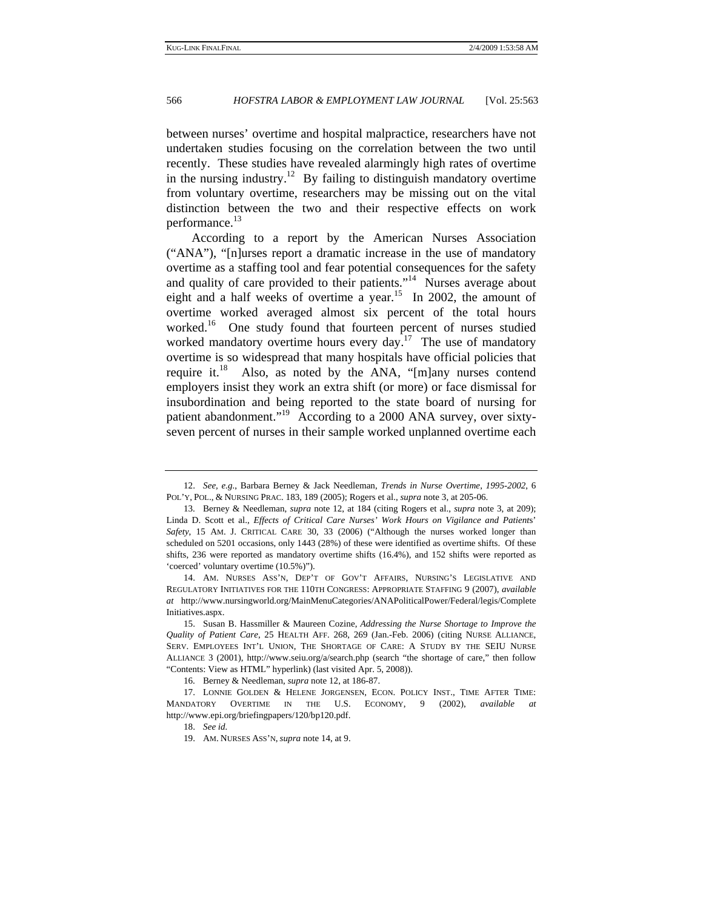between nurses' overtime and hospital malpractice, researchers have not undertaken studies focusing on the correlation between the two until recently. These studies have revealed alarmingly high rates of overtime in the nursing industry.<sup>12</sup> By failing to distinguish mandatory overtime from voluntary overtime, researchers may be missing out on the vital distinction between the two and their respective effects on work performance.<sup>13</sup>

According to a report by the American Nurses Association ("ANA"), "[n]urses report a dramatic increase in the use of mandatory overtime as a staffing tool and fear potential consequences for the safety and quality of care provided to their patients."<sup>14</sup> Nurses average about eight and a half weeks of overtime a year.<sup>15</sup> In 2002, the amount of overtime worked averaged almost six percent of the total hours worked.<sup>16</sup> One study found that fourteen percent of nurses studied worked mandatory overtime hours every day.<sup>17</sup> The use of mandatory overtime is so widespread that many hospitals have official policies that require it.<sup>18</sup> Also, as noted by the ANA, "[m]any nurses contend employers insist they work an extra shift (or more) or face dismissal for insubordination and being reported to the state board of nursing for patient abandonment."<sup>19</sup> According to a 2000 ANA survey, over sixtyseven percent of nurses in their sample worked unplanned overtime each

<sup>12.</sup> *See, e.g.*, Barbara Berney & Jack Needleman, *Trends in Nurse Overtime*, *1995-2002*, 6 POL'Y, POL., & NURSING PRAC. 183, 189 (2005); Rogers et al., *supra* note 3, at 205-06.

 <sup>13.</sup> Berney & Needleman, *supra* note 12, at 184 (citing Rogers et al., *supra* note 3, at 209); Linda D. Scott et al., *Effects of Critical Care Nurses' Work Hours on Vigilance and Patient*s' *Safety*, 15 AM. J. CRITICAL CARE 30, 33 (2006) ("Although the nurses worked longer than scheduled on 5201 occasions, only 1443 (28%) of these were identified as overtime shifts. Of these shifts, 236 were reported as mandatory overtime shifts (16.4%), and 152 shifts were reported as 'coerced' voluntary overtime (10.5%)").

 <sup>14.</sup> AM. NURSES ASS'N, DEP'T OF GOV'T AFFAIRS, NURSING'S LEGISLATIVE AND REGULATORY INITIATIVES FOR THE 110TH CONGRESS: APPROPRIATE STAFFING 9 (2007), *available at* http://www.nursingworld.org/MainMenuCategories/ANAPoliticalPower/Federal/legis/Complete Initiatives.aspx.

 <sup>15.</sup> Susan B. Hassmiller & Maureen Cozine, *Addressing the Nurse Shortage to Improve the Quality of Patient Care*, 25 HEALTH AFF. 268, 269 (Jan.-Feb. 2006) (citing NURSE ALLIANCE, SERV. EMPLOYEES INT'L UNION, THE SHORTAGE OF CARE: A STUDY BY THE SEIU NURSE ALLIANCE 3 (2001), http://www.seiu.org/a/search.php (search "the shortage of care," then follow "Contents: View as HTML" hyperlink) (last visited Apr. 5, 2008)).

 <sup>16.</sup> Berney & Needleman, *supra* note 12, at 186-87.

 <sup>17.</sup> LONNIE GOLDEN & HELENE JORGENSEN, ECON. POLICY INST., TIME AFTER TIME: MANDATORY OVERTIME IN THE U.S. ECONOMY, 9 (2002), *available at* http://www.epi.org/briefingpapers/120/bp120.pdf.

<sup>18.</sup> *See id.*

 <sup>19.</sup> AM. NURSES ASS'N, *supra* note 14, at 9.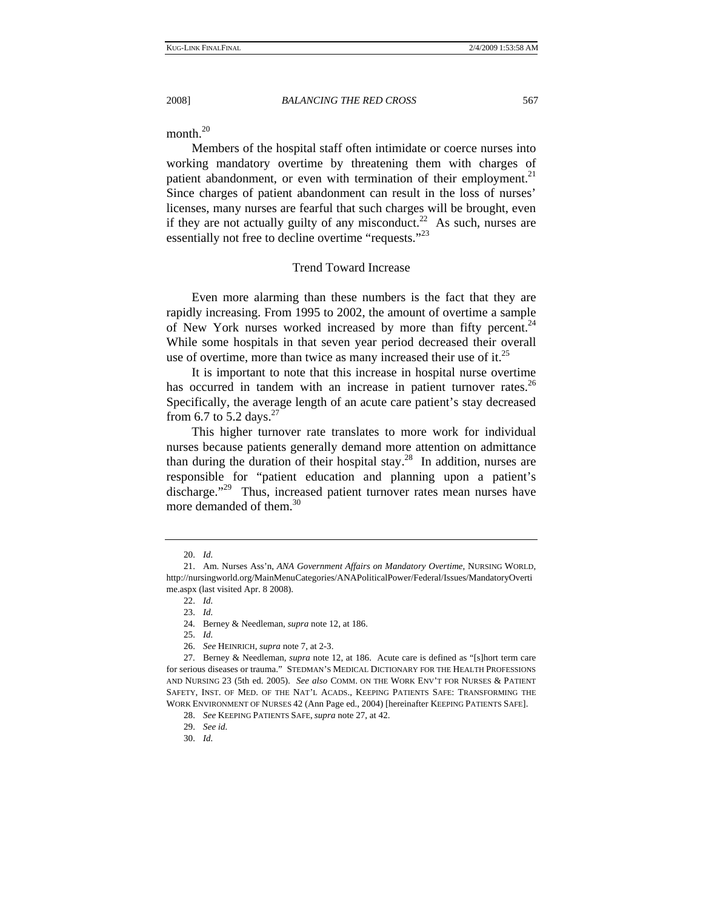month. $^{20}$ 

Members of the hospital staff often intimidate or coerce nurses into working mandatory overtime by threatening them with charges of patient abandonment, or even with termination of their employment.<sup>21</sup> Since charges of patient abandonment can result in the loss of nurses' licenses, many nurses are fearful that such charges will be brought, even if they are not actually guilty of any misconduct.<sup>22</sup> As such, nurses are essentially not free to decline overtime "requests."<sup>23</sup>

# Trend Toward Increase

Even more alarming than these numbers is the fact that they are rapidly increasing. From 1995 to 2002, the amount of overtime a sample of New York nurses worked increased by more than fifty percent.<sup>24</sup> While some hospitals in that seven year period decreased their overall use of overtime, more than twice as many increased their use of it. $^{25}$ 

It is important to note that this increase in hospital nurse overtime has occurred in tandem with an increase in patient turnover rates. $^{26}$ Specifically, the average length of an acute care patient's stay decreased from 6.7 to 5.2 days. $27$ 

This higher turnover rate translates to more work for individual nurses because patients generally demand more attention on admittance than during the duration of their hospital stay.<sup>28</sup> In addition, nurses are responsible for "patient education and planning upon a patient's discharge."<sup>29</sup> Thus, increased patient turnover rates mean nurses have more demanded of them.<sup>30</sup>

<sup>20.</sup> *Id.*

 <sup>21.</sup> Am. Nurses Ass'n, *ANA Government Affairs on Mandatory Overtime*, NURSING WORLD, http://nursingworld.org/MainMenuCategories/ANAPoliticalPower/Federal/Issues/MandatoryOverti me.aspx (last visited Apr. 8 2008).

<sup>22.</sup> *Id.*

<sup>23.</sup> *Id.*

 <sup>24.</sup> Berney & Needleman, *supra* note 12, at 186.

<sup>25.</sup> *Id.* 

<sup>26.</sup> *See* HEINRICH, *supra* note 7, at 2-3.

 <sup>27.</sup> Berney & Needleman, *supra* note 12, at 186. Acute care is defined as "[s]hort term care for serious diseases or trauma." STEDMAN'S MEDICAL DICTIONARY FOR THE HEALTH PROFESSIONS AND NURSING 23 (5th ed. 2005). *See also* COMM. ON THE WORK ENV'T FOR NURSES & PATIENT SAFETY, INST. OF MED. OF THE NAT'L ACADS., KEEPING PATIENTS SAFE: TRANSFORMING THE WORK ENVIRONMENT OF NURSES 42 (Ann Page ed., 2004) [hereinafter KEEPING PATIENTS SAFE].

<sup>28.</sup> *See* KEEPING PATIENTS SAFE, *supra* note 27, at 42.

<sup>29.</sup> *See id.*

<sup>30.</sup> *Id.*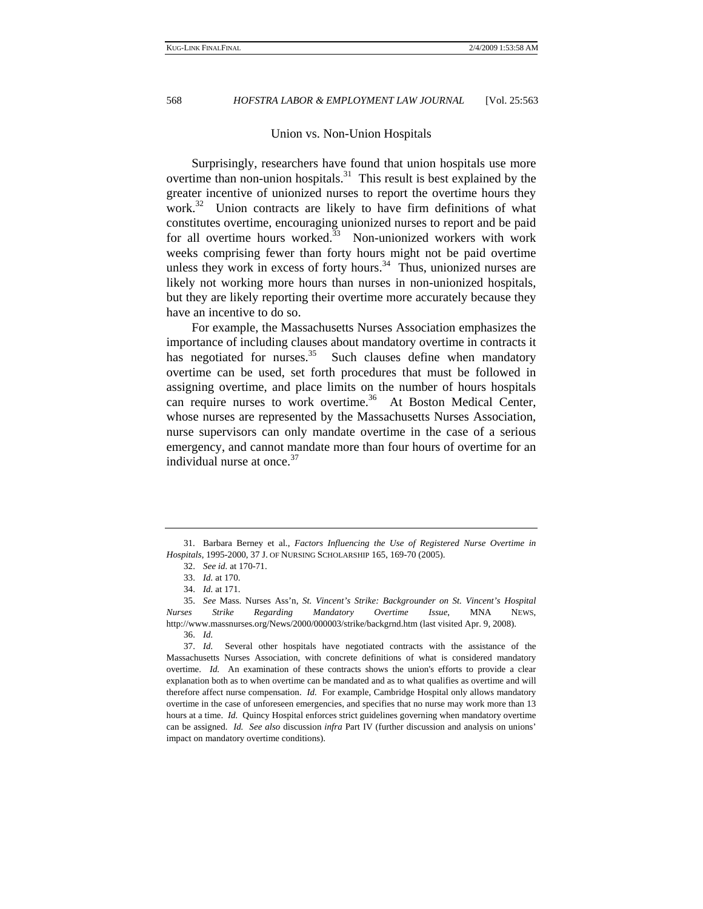# Union vs. Non-Union Hospitals

Surprisingly, researchers have found that union hospitals use more overtime than non-union hospitals.<sup>31</sup> This result is best explained by the greater incentive of unionized nurses to report the overtime hours they work.<sup>32</sup> Union contracts are likely to have firm definitions of what constitutes overtime, encouraging unionized nurses to report and be paid for all overtime hours worked. $33$  Non-unionized workers with work weeks comprising fewer than forty hours might not be paid overtime unless they work in excess of forty hours. $34$  Thus, unionized nurses are likely not working more hours than nurses in non-unionized hospitals, but they are likely reporting their overtime more accurately because they have an incentive to do so.

For example, the Massachusetts Nurses Association emphasizes the importance of including clauses about mandatory overtime in contracts it has negotiated for nurses. $35$  Such clauses define when mandatory overtime can be used, set forth procedures that must be followed in assigning overtime, and place limits on the number of hours hospitals can require nurses to work overtime.<sup>36</sup> At Boston Medical Center, whose nurses are represented by the Massachusetts Nurses Association, nurse supervisors can only mandate overtime in the case of a serious emergency, and cannot mandate more than four hours of overtime for an individual nurse at once.<sup>37</sup>

37. *Id.* Several other hospitals have negotiated contracts with the assistance of the Massachusetts Nurses Association, with concrete definitions of what is considered mandatory overtime. *Id.* An examination of these contracts shows the union's efforts to provide a clear explanation both as to when overtime can be mandated and as to what qualifies as overtime and will therefore affect nurse compensation. *Id.* For example, Cambridge Hospital only allows mandatory overtime in the case of unforeseen emergencies, and specifies that no nurse may work more than 13 hours at a time. *Id.* Quincy Hospital enforces strict guidelines governing when mandatory overtime can be assigned. *Id. See also* discussion *infra* Part IV (further discussion and analysis on unions' impact on mandatory overtime conditions).

 <sup>31.</sup> Barbara Berney et al., *Factors Influencing the Use of Registered Nurse Overtime in Hospitals*, 1995-2000, 37 J. OF NURSING SCHOLARSHIP 165, 169-70 (2005).

<sup>32.</sup> *See id.* at 170-71.

<sup>33.</sup> *Id.* at 170.

<sup>34.</sup> *Id.* at 171.

<sup>35.</sup> *See* Mass. Nurses Ass'n, *St. Vincent's Strike: Backgrounder on St. Vincent's Hospital Nurses Strike Regarding Mandatory Overtime Issue*, MNA NEWS, http://www.massnurses.org/News/2000/000003/strike/backgrnd.htm (last visited Apr. 9, 2008).

<sup>36.</sup> *Id.*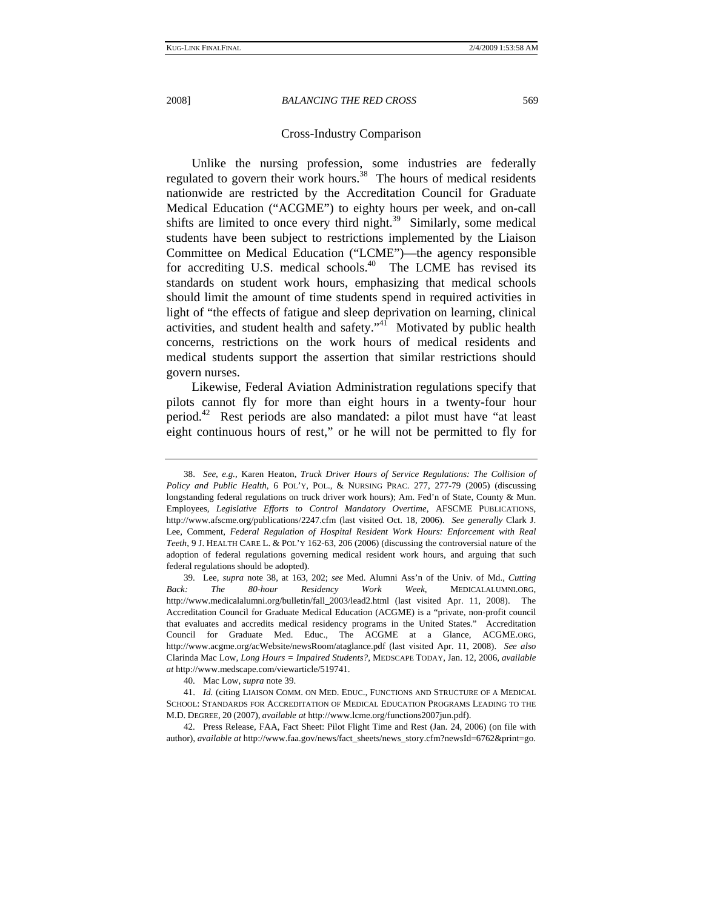# Cross-Industry Comparison

Unlike the nursing profession, some industries are federally regulated to govern their work hours.<sup>38</sup> The hours of medical residents nationwide are restricted by the Accreditation Council for Graduate Medical Education ("ACGME") to eighty hours per week, and on-call shifts are limited to once every third night.<sup>39</sup> Similarly, some medical students have been subject to restrictions implemented by the Liaison Committee on Medical Education ("LCME")—the agency responsible for accrediting U.S. medical schools. $40$  The LCME has revised its standards on student work hours, emphasizing that medical schools should limit the amount of time students spend in required activities in light of "the effects of fatigue and sleep deprivation on learning, clinical activities, and student health and safety."41 Motivated by public health concerns, restrictions on the work hours of medical residents and medical students support the assertion that similar restrictions should govern nurses.

Likewise, Federal Aviation Administration regulations specify that pilots cannot fly for more than eight hours in a twenty-four hour period.<sup>42</sup> Rest periods are also mandated: a pilot must have "at least eight continuous hours of rest," or he will not be permitted to fly for

<sup>38.</sup> *See, e.g.*, Karen Heaton, *Truck Driver Hours of Service Regulations: The Collision of Policy and Public Health*, 6 POL'Y, POL., & NURSING PRAC. 277, 277-79 (2005) (discussing longstanding federal regulations on truck driver work hours); Am. Fed'n of State, County & Mun. Employees, *Legislative Efforts to Control Mandatory Overtime*, AFSCME PUBLICATIONS, http://www.afscme.org/publications/2247.cfm (last visited Oct. 18, 2006). *See generally* Clark J. Lee, Comment, *Federal Regulation of Hospital Resident Work Hours: Enforcement with Real Teeth*, 9 J. HEALTH CARE L. & POL'Y 162-63, 206 (2006) (discussing the controversial nature of the adoption of federal regulations governing medical resident work hours, and arguing that such federal regulations should be adopted).

 <sup>39.</sup> Lee, *supra* note 38, at 163, 202; *see* Med. Alumni Ass'n of the Univ. of Md., *Cutting Back: The 80-hour Residency Work Week*, MEDICALALUMNI.ORG, http://www.medicalalumni.org/bulletin/fall\_2003/lead2.html (last visited Apr. 11, 2008). The Accreditation Council for Graduate Medical Education (ACGME) is a "private, non-profit council that evaluates and accredits medical residency programs in the United States." Accreditation Council for Graduate Med. Educ., The ACGME at a Glance, ACGME.ORG, http://www.acgme.org/acWebsite/newsRoom/ataglance.pdf (last visited Apr. 11, 2008). *See also* Clarinda Mac Low, *Long Hours = Impaired Students?*, MEDSCAPE TODAY, Jan. 12, 2006, *available at* http://www.medscape.com/viewarticle/519741.

 <sup>40.</sup> Mac Low, *supra* note 39.

<sup>41.</sup> *Id.* (citing LIAISON COMM. ON MED. EDUC., FUNCTIONS AND STRUCTURE OF A MEDICAL SCHOOL: STANDARDS FOR ACCREDITATION OF MEDICAL EDUCATION PROGRAMS LEADING TO THE M.D. DEGREE, 20 (2007), *available at* http://www.lcme.org/functions2007jun.pdf).

 <sup>42.</sup> Press Release, FAA, Fact Sheet: Pilot Flight Time and Rest (Jan. 24, 2006) (on file with author), *available at* http://www.faa.gov/news/fact\_sheets/news\_story.cfm?newsId=6762&print=go.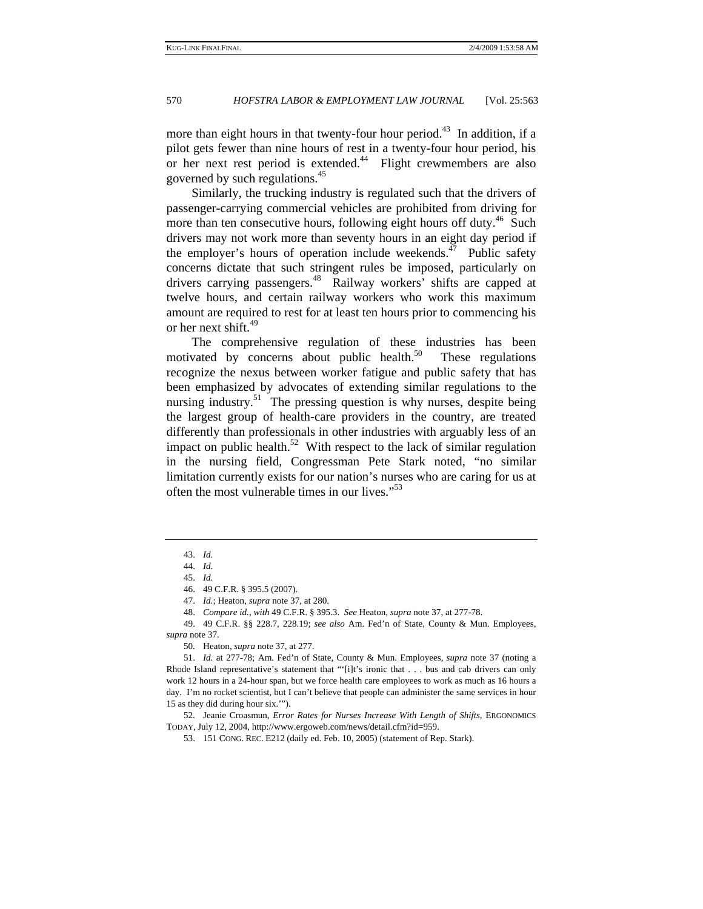more than eight hours in that twenty-four hour period.<sup>43</sup> In addition, if a pilot gets fewer than nine hours of rest in a twenty-four hour period, his or her next rest period is extended. $44$  Flight crewmembers are also governed by such regulations.45

Similarly, the trucking industry is regulated such that the drivers of passenger-carrying commercial vehicles are prohibited from driving for more than ten consecutive hours, following eight hours off duty.<sup>46</sup> Such drivers may not work more than seventy hours in an eight day period if the employer's hours of operation include weekends.<sup>47</sup> Public safety concerns dictate that such stringent rules be imposed, particularly on drivers carrying passengers.<sup>48</sup> Railway workers' shifts are capped at twelve hours, and certain railway workers who work this maximum amount are required to rest for at least ten hours prior to commencing his or her next shift.<sup>49</sup>

The comprehensive regulation of these industries has been motivated by concerns about public health.<sup>50</sup> These regulations recognize the nexus between worker fatigue and public safety that has been emphasized by advocates of extending similar regulations to the nursing industry.<sup>51</sup> The pressing question is why nurses, despite being the largest group of health-care providers in the country, are treated differently than professionals in other industries with arguably less of an impact on public health.<sup>52</sup> With respect to the lack of similar regulation in the nursing field, Congressman Pete Stark noted, "no similar limitation currently exists for our nation's nurses who are caring for us at often the most vulnerable times in our lives."<sup>53</sup>

 52. Jeanie Croasmun, *Error Rates for Nurses Increase With Length of Shifts*, ERGONOMICS TODAY, July 12, 2004, http://www.ergoweb.com/news/detail.cfm?id=959.

<sup>43.</sup> *Id.*

<sup>44.</sup> *Id.* 

<sup>45.</sup> *Id.* 

 <sup>46. 49</sup> C.F.R. § 395.5 (2007).

<sup>47.</sup> *Id.*; Heaton, *supra* note 37, at 280.

<sup>48.</sup> *Compare id.*, *with* 49 C.F.R. § 395.3. *See* Heaton, *supra* note 37, at 277-78.

 <sup>49. 49</sup> C.F.R. §§ 228.7, 228.19; *see also* Am. Fed'n of State, County & Mun. Employees, *supra* note 37.

 <sup>50.</sup> Heaton, *supra* note 37, at 277.

<sup>51.</sup> *Id.* at 277-78; Am. Fed'n of State, County & Mun. Employees, *supra* note 37 (noting a Rhode Island representative's statement that "'[i]t's ironic that . . . bus and cab drivers can only work 12 hours in a 24-hour span, but we force health care employees to work as much as 16 hours a day. I'm no rocket scientist, but I can't believe that people can administer the same services in hour 15 as they did during hour six.'").

 <sup>53. 151</sup> CONG. REC. E212 (daily ed. Feb. 10, 2005) (statement of Rep. Stark).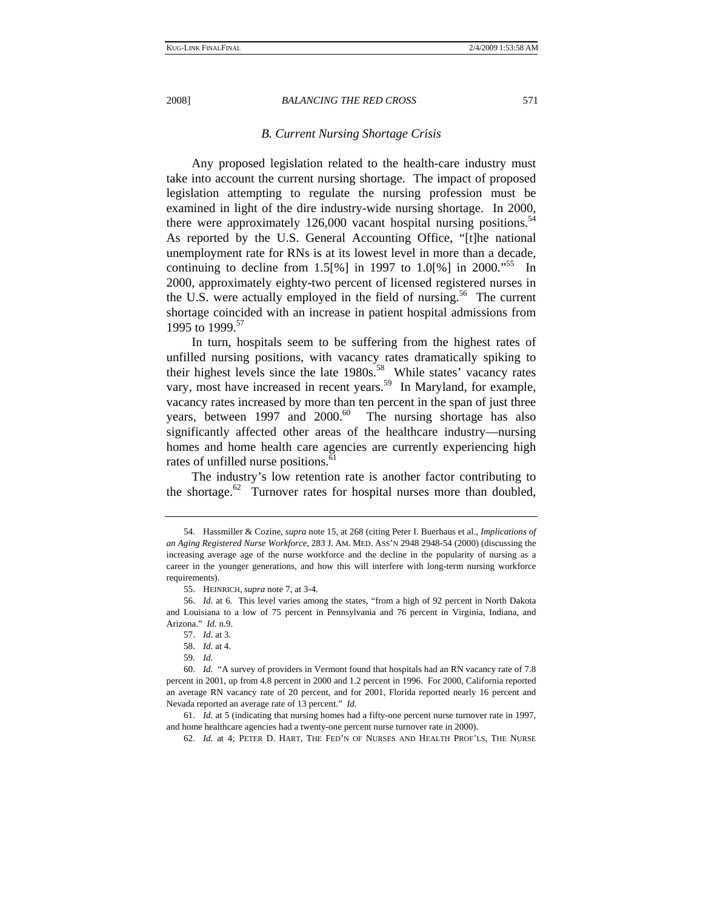# *B. Current Nursing Shortage Crisis*

Any proposed legislation related to the health-care industry must take into account the current nursing shortage. The impact of proposed legislation attempting to regulate the nursing profession must be examined in light of the dire industry-wide nursing shortage. In 2000, there were approximately  $126,000$  vacant hospital nursing positions.<sup>54</sup> As reported by the U.S. General Accounting Office, "[t]he national unemployment rate for RNs is at its lowest level in more than a decade, continuing to decline from 1.5[%] in 1997 to 1.0[%] in 2000.<sup>55</sup> In 2000, approximately eighty-two percent of licensed registered nurses in the U.S. were actually employed in the field of nursing.<sup>56</sup> The current shortage coincided with an increase in patient hospital admissions from 1995 to 1999.<sup>57</sup>

In turn, hospitals seem to be suffering from the highest rates of unfilled nursing positions, with vacancy rates dramatically spiking to their highest levels since the late 1980s.<sup>58</sup> While states' vacancy rates vary, most have increased in recent years.<sup>59</sup> In Maryland, for example, vacancy rates increased by more than ten percent in the span of just three years, between  $1997$  and  $2000<sup>60</sup>$  The nursing shortage has also significantly affected other areas of the healthcare industry—nursing homes and home health care agencies are currently experiencing high rates of unfilled nurse positions.<sup>61</sup>

The industry's low retention rate is another factor contributing to the shortage. $62$  Turnover rates for hospital nurses more than doubled,

 <sup>54.</sup> Hassmiller & Cozine, *supra* note 15, at 268 (citing Peter I. Buerhaus et al., *Implications of an Aging Registered Nurse Workforce*, 283 J. AM. MED. ASS'N 2948 2948-54 (2000) (discussing the increasing average age of the nurse workforce and the decline in the popularity of nursing as a career in the younger generations, and how this will interfere with long-term nursing workforce requirements).

 <sup>55.</sup> HEINRICH, *supra* note 7, at 3-4.

<sup>56.</sup> *Id.* at 6. This level varies among the states, "from a high of 92 percent in North Dakota and Louisiana to a low of 75 percent in Pennsylvania and 76 percent in Virginia, Indiana, and Arizona." *Id.* n.9.

<sup>57.</sup> *Id.* at 3.

<sup>58.</sup> *Id.* at 4.

<sup>59.</sup> *Id.*

<sup>60.</sup> *Id.* "A survey of providers in Vermont found that hospitals had an RN vacancy rate of 7.8 percent in 2001, up from 4.8 percent in 2000 and 1.2 percent in 1996. For 2000, California reported an average RN vacancy rate of 20 percent, and for 2001, Florida reported nearly 16 percent and Nevada reported an average rate of 13 percent." *Id.*

<sup>61.</sup> *Id.* at 5 (indicating that nursing homes had a fifty-one percent nurse turnover rate in 1997, and home healthcare agencies had a twenty-one percent nurse turnover rate in 2000).

<sup>62.</sup> *Id.* at 4; PETER D. HART, THE FED'N OF NURSES AND HEALTH PROF'LS, THE NURSE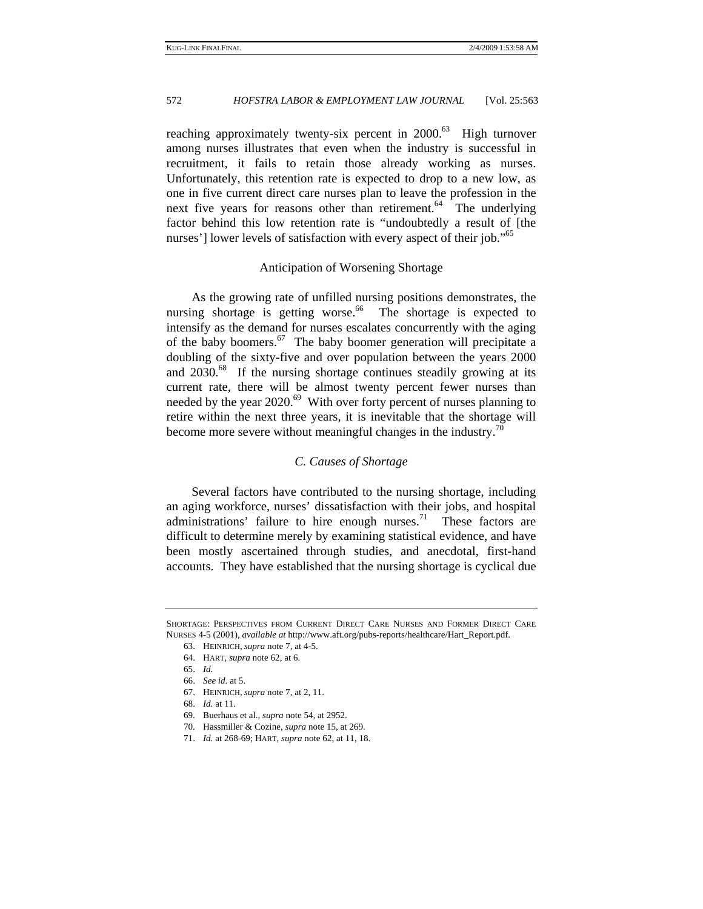reaching approximately twenty-six percent in  $2000$ <sup>63</sup> High turnover among nurses illustrates that even when the industry is successful in recruitment, it fails to retain those already working as nurses. Unfortunately, this retention rate is expected to drop to a new low, as one in five current direct care nurses plan to leave the profession in the next five years for reasons other than retirement.<sup>64</sup> The underlying factor behind this low retention rate is "undoubtedly a result of [the nurses'] lower levels of satisfaction with every aspect of their job."<sup>65</sup>

#### Anticipation of Worsening Shortage

As the growing rate of unfilled nursing positions demonstrates, the nursing shortage is getting worse. $66$  The shortage is expected to intensify as the demand for nurses escalates concurrently with the aging of the baby boomers.<sup>67</sup> The baby boomer generation will precipitate a doubling of the sixty-five and over population between the years 2000 and 2030.<sup>68</sup> If the nursing shortage continues steadily growing at its current rate, there will be almost twenty percent fewer nurses than needed by the year 2020.<sup>69</sup> With over forty percent of nurses planning to retire within the next three years, it is inevitable that the shortage will become more severe without meaningful changes in the industry.<sup>70</sup>

# *C. Causes of Shortage*

Several factors have contributed to the nursing shortage, including an aging workforce, nurses' dissatisfaction with their jobs, and hospital administrations' failure to hire enough nurses.<sup>71</sup> These factors are difficult to determine merely by examining statistical evidence, and have been mostly ascertained through studies, and anecdotal, first-hand accounts. They have established that the nursing shortage is cyclical due

SHORTAGE: PERSPECTIVES FROM CURRENT DIRECT CARE NURSES AND FORMER DIRECT CARE NURSES 4-5 (2001), *available at* http://www.aft.org/pubs-reports/healthcare/Hart\_Report.pdf.

 <sup>63.</sup> HEINRICH, *supra* note 7, at 4-5.

 <sup>64.</sup> HART, *supra* note 62, at 6.

<sup>65.</sup> *Id.*

<sup>66.</sup> *See id.* at 5.

 <sup>67.</sup> HEINRICH, *supra* note 7, at 2, 11.

<sup>68.</sup> *Id.* at 11.

 <sup>69.</sup> Buerhaus et al., *supra* note 54, at 2952.

 <sup>70.</sup> Hassmiller & Cozine, *supra* note 15, at 269.

<sup>71.</sup> *Id.* at 268-69; HART, *supra* note 62, at 11, 18.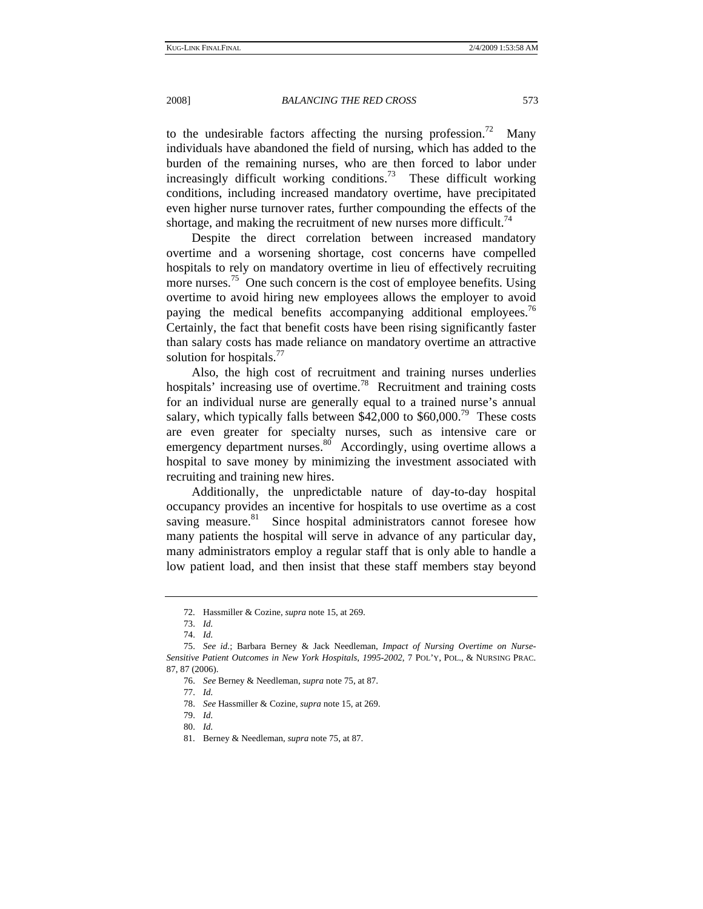to the undesirable factors affecting the nursing profession.<sup>72</sup> Many individuals have abandoned the field of nursing, which has added to the burden of the remaining nurses, who are then forced to labor under increasingly difficult working conditions.<sup>73</sup> These difficult working conditions, including increased mandatory overtime, have precipitated even higher nurse turnover rates, further compounding the effects of the shortage, and making the recruitment of new nurses more difficult.<sup>74</sup>

Despite the direct correlation between increased mandatory overtime and a worsening shortage, cost concerns have compelled hospitals to rely on mandatory overtime in lieu of effectively recruiting more nurses.<sup>75</sup> One such concern is the cost of employee benefits. Using overtime to avoid hiring new employees allows the employer to avoid paying the medical benefits accompanying additional employees.<sup>76</sup> Certainly, the fact that benefit costs have been rising significantly faster than salary costs has made reliance on mandatory overtime an attractive solution for hospitals.<sup>77</sup>

Also, the high cost of recruitment and training nurses underlies hospitals' increasing use of overtime.<sup>78</sup> Recruitment and training costs for an individual nurse are generally equal to a trained nurse's annual salary, which typically falls between  $$42,000$  to  $$60,000.<sup>79</sup>$  These costs are even greater for specialty nurses, such as intensive care or emergency department nurses. $\frac{80}{9}$  Accordingly, using overtime allows a hospital to save money by minimizing the investment associated with recruiting and training new hires.

Additionally, the unpredictable nature of day-to-day hospital occupancy provides an incentive for hospitals to use overtime as a cost saving measure.<sup>81</sup> Since hospital administrators cannot foresee how many patients the hospital will serve in advance of any particular day, many administrators employ a regular staff that is only able to handle a low patient load, and then insist that these staff members stay beyond

 <sup>72.</sup> Hassmiller & Cozine, *supra* note 15, at 269.

<sup>73.</sup> *Id.*

<sup>74.</sup> *Id.*

<sup>75.</sup> *See id.*; Barbara Berney & Jack Needleman, *Impact of Nursing Overtime on Nurse-Sensitive Patient Outcomes in New York Hospitals*, *1995-2002*, 7 POL'Y, POL., & NURSING PRAC. 87, 87 (2006).

<sup>76.</sup> *See* Berney & Needleman, *supra* note 75, at 87.

<sup>77.</sup> *Id.*

<sup>78.</sup> *See* Hassmiller & Cozine, *supra* note 15, at 269.

<sup>79.</sup> *Id.*

<sup>80.</sup> *Id.* 

 <sup>81.</sup> Berney & Needleman, *supra* note 75, at 87.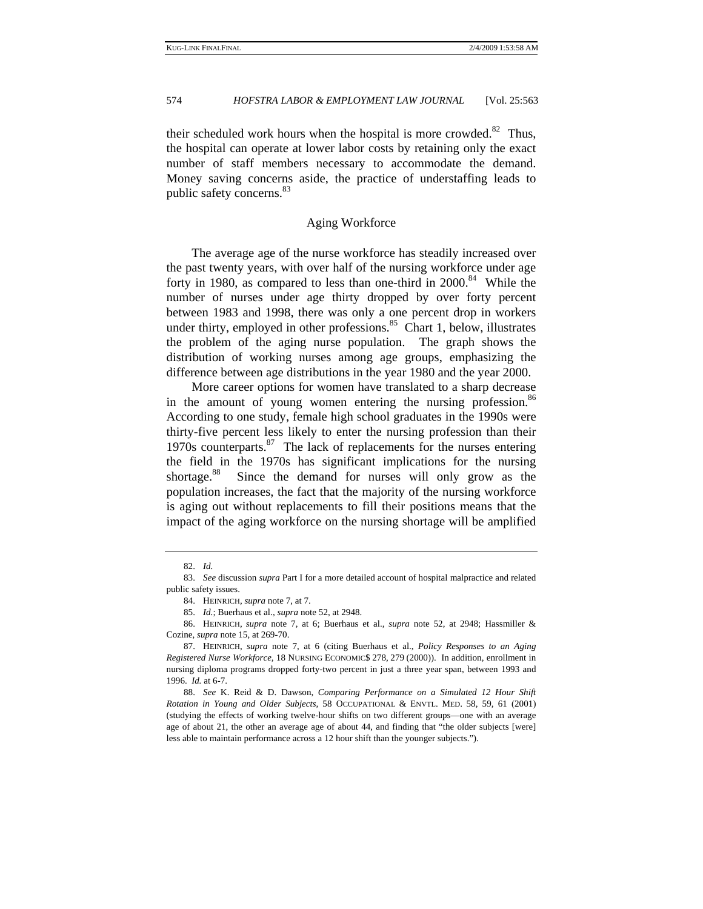their scheduled work hours when the hospital is more crowded. $82$  Thus, the hospital can operate at lower labor costs by retaining only the exact number of staff members necessary to accommodate the demand. Money saving concerns aside, the practice of understaffing leads to public safety concerns.<sup>83</sup>

# Aging Workforce

The average age of the nurse workforce has steadily increased over the past twenty years, with over half of the nursing workforce under age forty in 1980, as compared to less than one-third in  $2000$ .<sup>84</sup> While the number of nurses under age thirty dropped by over forty percent between 1983 and 1998, there was only a one percent drop in workers under thirty, employed in other professions. $85$  Chart 1, below, illustrates the problem of the aging nurse population. The graph shows the distribution of working nurses among age groups, emphasizing the difference between age distributions in the year 1980 and the year 2000.

More career options for women have translated to a sharp decrease in the amount of young women entering the nursing profession.<sup>86</sup> According to one study, female high school graduates in the 1990s were thirty-five percent less likely to enter the nursing profession than their 1970s counterparts. $87$  The lack of replacements for the nurses entering the field in the 1970s has significant implications for the nursing shortage.<sup>88</sup> Since the demand for nurses will only grow as the population increases, the fact that the majority of the nursing workforce is aging out without replacements to fill their positions means that the impact of the aging workforce on the nursing shortage will be amplified

 86. HEINRICH, *supra* note 7, at 6; Buerhaus et al., *supra* note 52, at 2948; Hassmiller & Cozine, *supra* note 15, at 269-70.

<sup>82.</sup> *Id.* 

<sup>83.</sup> *See* discussion *supra* Part I for a more detailed account of hospital malpractice and related public safety issues.

 <sup>84.</sup> HEINRICH, *supra* note 7, at 7.

<sup>85.</sup> *Id.*; Buerhaus et al., *supra* note 52, at 2948.

 <sup>87.</sup> HEINRICH, *supra* note 7, at 6 (citing Buerhaus et al., *Policy Responses to an Aging Registered Nurse Workforce*, 18 NURSING ECONOMIC\$ 278, 279 (2000)). In addition, enrollment in nursing diploma programs dropped forty-two percent in just a three year span, between 1993 and 1996. *Id.* at 6-7.

<sup>88.</sup> *See* K. Reid & D. Dawson, *Comparing Performance on a Simulated 12 Hour Shift Rotation in Young and Older Subjects*, 58 OCCUPATIONAL & ENVTL. MED. 58, 59, 61 (2001) (studying the effects of working twelve-hour shifts on two different groups—one with an average age of about 21, the other an average age of about 44, and finding that "the older subjects [were] less able to maintain performance across a 12 hour shift than the younger subjects.").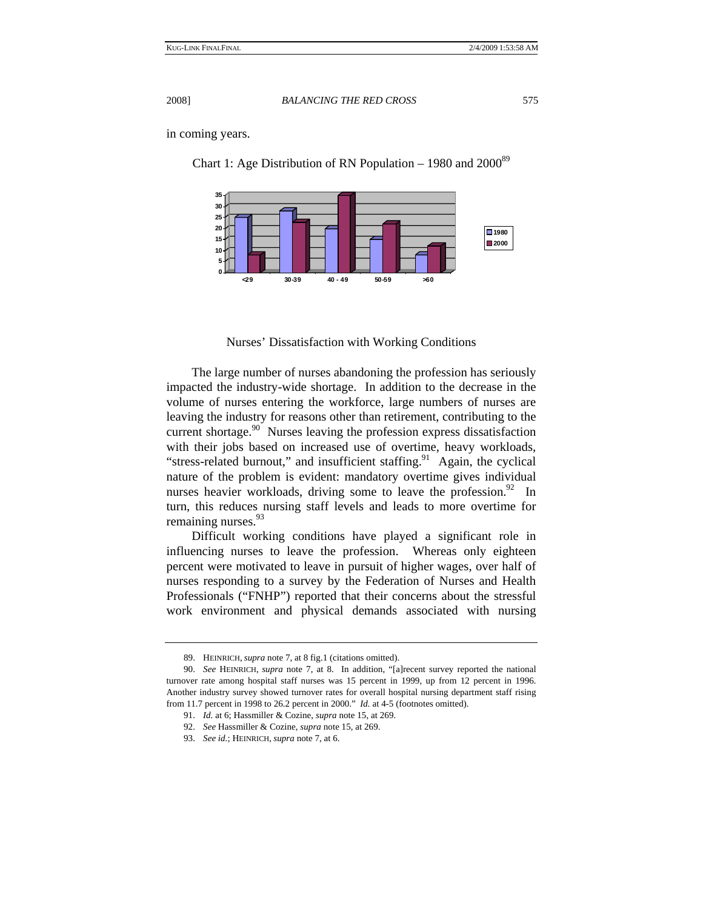Chart 1: Age Distribution of RN Population – 1980 and  $2000^{89}$ 

in coming years.

**0 5 10 15 20 25 30 35 <29 30-39 40 - 49 50-59 >60 1980 2000**

Nurses' Dissatisfaction with Working Conditions

The large number of nurses abandoning the profession has seriously impacted the industry-wide shortage. In addition to the decrease in the volume of nurses entering the workforce, large numbers of nurses are leaving the industry for reasons other than retirement, contributing to the current shortage. $90$  Nurses leaving the profession express dissatisfaction with their jobs based on increased use of overtime, heavy workloads, "stress-related burnout," and insufficient staffing. $91$  Again, the cyclical nature of the problem is evident: mandatory overtime gives individual nurses heavier workloads, driving some to leave the profession. $92$  In turn, this reduces nursing staff levels and leads to more overtime for remaining nurses.<sup>93</sup>

Difficult working conditions have played a significant role in influencing nurses to leave the profession. Whereas only eighteen percent were motivated to leave in pursuit of higher wages, over half of nurses responding to a survey by the Federation of Nurses and Health Professionals ("FNHP") reported that their concerns about the stressful work environment and physical demands associated with nursing

 <sup>89.</sup> HEINRICH, *supra* note 7, at 8 fig.1 (citations omitted).

<sup>90.</sup> *See* HEINRICH, *supra* note 7, at 8. In addition, "[a]recent survey reported the national turnover rate among hospital staff nurses was 15 percent in 1999, up from 12 percent in 1996. Another industry survey showed turnover rates for overall hospital nursing department staff rising from 11.7 percent in 1998 to 26.2 percent in 2000." *Id.* at 4-5 (footnotes omitted).

<sup>91.</sup> *Id.* at 6; Hassmiller & Cozine, *supra* note 15, at 269.

<sup>92.</sup> *See* Hassmiller & Cozine, *supra* note 15, at 269.

<sup>93.</sup> *See id.*; HEINRICH, *supra* note 7, at 6.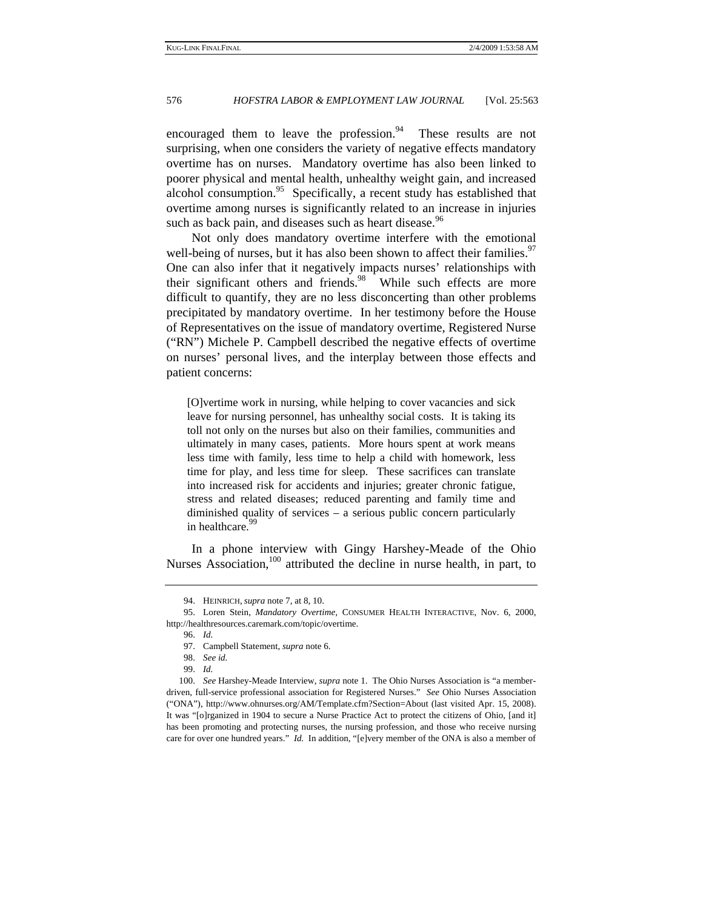encouraged them to leave the profession. $94$  These results are not surprising, when one considers the variety of negative effects mandatory overtime has on nurses. Mandatory overtime has also been linked to poorer physical and mental health, unhealthy weight gain, and increased alcohol consumption. $95$  Specifically, a recent study has established that overtime among nurses is significantly related to an increase in injuries such as back pain, and diseases such as heart disease.<sup>96</sup>

Not only does mandatory overtime interfere with the emotional well-being of nurses, but it has also been shown to affect their families.<sup>97</sup> One can also infer that it negatively impacts nurses' relationships with their significant others and friends.<sup>98</sup> While such effects are more difficult to quantify, they are no less disconcerting than other problems precipitated by mandatory overtime. In her testimony before the House of Representatives on the issue of mandatory overtime, Registered Nurse ("RN") Michele P. Campbell described the negative effects of overtime on nurses' personal lives, and the interplay between those effects and patient concerns:

[O]vertime work in nursing, while helping to cover vacancies and sick leave for nursing personnel, has unhealthy social costs. It is taking its toll not only on the nurses but also on their families, communities and ultimately in many cases, patients. More hours spent at work means less time with family, less time to help a child with homework, less time for play, and less time for sleep. These sacrifices can translate into increased risk for accidents and injuries; greater chronic fatigue, stress and related diseases; reduced parenting and family time and diminished quality of services – a serious public concern particularly in healthcare.<sup>99</sup>

In a phone interview with Gingy Harshey-Meade of the Ohio Nurses Association,<sup>100</sup> attributed the decline in nurse health, in part, to

99. *Id.*

 <sup>94.</sup> HEINRICH, *supra* note 7, at 8, 10.

 <sup>95.</sup> Loren Stein, *Mandatory Overtime*, CONSUMER HEALTH INTERACTIVE, Nov. 6, 2000, http://healthresources.caremark.com/topic/overtime.

<sup>96.</sup> *Id.*

 <sup>97.</sup> Campbell Statement, *supra* note 6.

<sup>98.</sup> *See id.*

<sup>100.</sup> *See* Harshey-Meade Interview, *supra* note 1. The Ohio Nurses Association is "a memberdriven, full-service professional association for Registered Nurses." *See* Ohio Nurses Association ("ONA"), http://www.ohnurses.org/AM/Template.cfm?Section=About (last visited Apr. 15, 2008). It was "[o]rganized in 1904 to secure a Nurse Practice Act to protect the citizens of Ohio, [and it] has been promoting and protecting nurses, the nursing profession, and those who receive nursing care for over one hundred years." *Id.* In addition, "[e]very member of the ONA is also a member of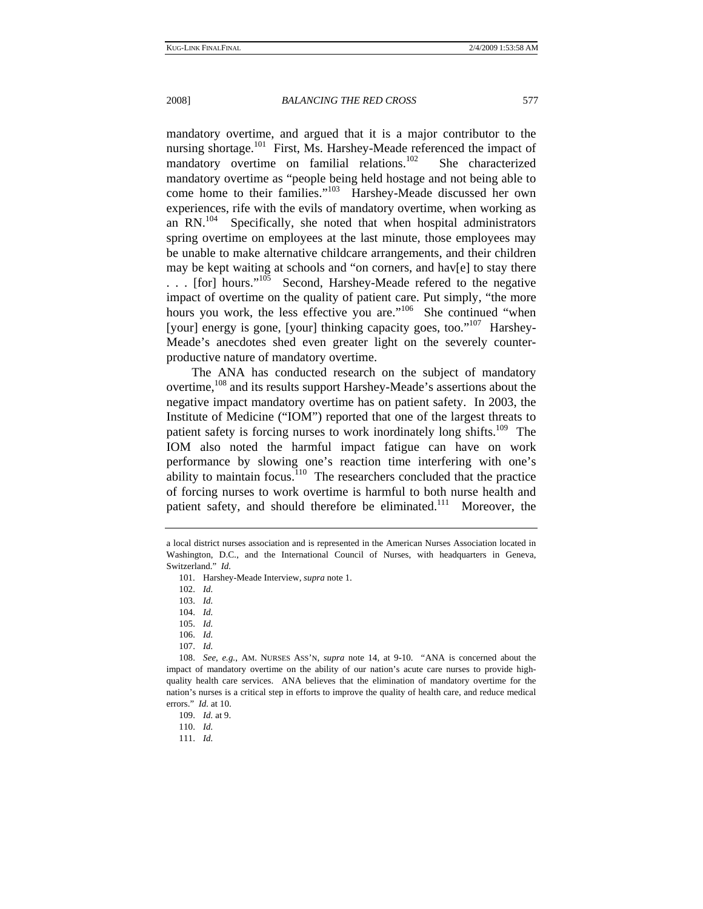mandatory overtime, and argued that it is a major contributor to the nursing shortage.<sup>101</sup> First, Ms. Harshey-Meade referenced the impact of mandatory overtime on familial relations.<sup>102</sup> She characterized mandatory overtime as "people being held hostage and not being able to come home to their families."<sup>103</sup> Harshey-Meade discussed her own experiences, rife with the evils of mandatory overtime, when working as an  $RN<sup>104</sup>$  Specifically, she noted that when hospital administrators spring overtime on employees at the last minute, those employees may be unable to make alternative childcare arrangements, and their children may be kept waiting at schools and "on corners, and hav[e] to stay there ... [for] hours."<sup>105</sup> Second, Harshey-Meade refered to the negative impact of overtime on the quality of patient care. Put simply, "the more hours you work, the less effective you are."<sup>106</sup> She continued "when [your] energy is gone, [your] thinking capacity goes, too."<sup>107</sup> Harshey-Meade's anecdotes shed even greater light on the severely counterproductive nature of mandatory overtime.

The ANA has conducted research on the subject of mandatory overtime, <sup>108</sup> and its results support Harshey-Meade's assertions about the negative impact mandatory overtime has on patient safety. In 2003, the Institute of Medicine ("IOM") reported that one of the largest threats to patient safety is forcing nurses to work inordinately long shifts.<sup>109</sup> The IOM also noted the harmful impact fatigue can have on work performance by slowing one's reaction time interfering with one's ability to maintain focus.<sup>110</sup> The researchers concluded that the practice of forcing nurses to work overtime is harmful to both nurse health and patient safety, and should therefore be eliminated.<sup>111</sup> Moreover, the

107. *Id.*

111. *Id.*

a local district nurses association and is represented in the American Nurses Association located in Washington, D.C., and the International Council of Nurses, with headquarters in Geneva, Switzerland." *Id.*

 <sup>101.</sup> Harshey-Meade Interview, *supra* note 1.

<sup>102.</sup> *Id.*

<sup>103.</sup> *Id.*

<sup>104.</sup> *Id.*

<sup>105.</sup> *Id.*

<sup>106.</sup> *Id.*

<sup>108.</sup> *See, e.g.*, AM. NURSES ASS'N, *supra* note 14, at 9-10. "ANA is concerned about the impact of mandatory overtime on the ability of our nation's acute care nurses to provide highquality health care services. ANA believes that the elimination of mandatory overtime for the nation's nurses is a critical step in efforts to improve the quality of health care, and reduce medical errors." *Id.* at 10.

<sup>109.</sup> *Id.* at 9.

<sup>110.</sup> *Id.*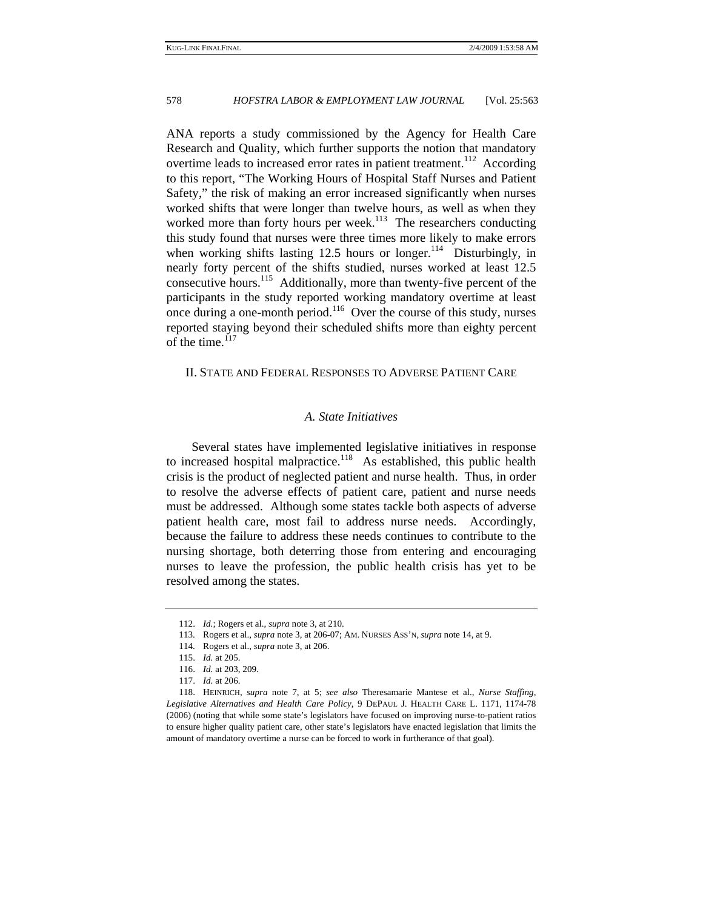ANA reports a study commissioned by the Agency for Health Care Research and Quality, which further supports the notion that mandatory overtime leads to increased error rates in patient treatment.<sup>112</sup> According to this report, "The Working Hours of Hospital Staff Nurses and Patient Safety," the risk of making an error increased significantly when nurses worked shifts that were longer than twelve hours, as well as when they worked more than forty hours per week.<sup>113</sup> The researchers conducting this study found that nurses were three times more likely to make errors when working shifts lasting 12.5 hours or longer.<sup>114</sup> Disturbingly, in nearly forty percent of the shifts studied, nurses worked at least 12.5 consecutive hours.<sup>115</sup> Additionally, more than twenty-five percent of the participants in the study reported working mandatory overtime at least once during a one-month period.<sup>116</sup> Over the course of this study, nurses reported staying beyond their scheduled shifts more than eighty percent of the time.<sup>117</sup>

## II. STATE AND FEDERAL RESPONSES TO ADVERSE PATIENT CARE

# *A. State Initiatives*

Several states have implemented legislative initiatives in response to increased hospital malpractice.<sup>118</sup> As established, this public health crisis is the product of neglected patient and nurse health. Thus, in order to resolve the adverse effects of patient care, patient and nurse needs must be addressed. Although some states tackle both aspects of adverse patient health care, most fail to address nurse needs. Accordingly, because the failure to address these needs continues to contribute to the nursing shortage, both deterring those from entering and encouraging nurses to leave the profession, the public health crisis has yet to be resolved among the states.

<sup>112.</sup> *Id.*; Rogers et al., *supra* note 3, at 210.

 <sup>113.</sup> Rogers et al., *supra* note 3, at 206-07; AM. NURSES ASS'N, *supra* note 14, at 9.

 <sup>114.</sup> Rogers et al., *supra* note 3, at 206.

<sup>115.</sup> *Id.* at 205.

<sup>116.</sup> *Id.* at 203, 209.

<sup>117.</sup> *Id.* at 206.

 <sup>118.</sup> HEINRICH, *supra* note 7, at 5; *see also* Theresamarie Mantese et al., *Nurse Staffing, Legislative Alternatives and Health Care Policy*, 9 DEPAUL J. HEALTH CARE L. 1171, 1174-78 (2006) (noting that while some state's legislators have focused on improving nurse-to-patient ratios to ensure higher quality patient care, other state's legislators have enacted legislation that limits the amount of mandatory overtime a nurse can be forced to work in furtherance of that goal).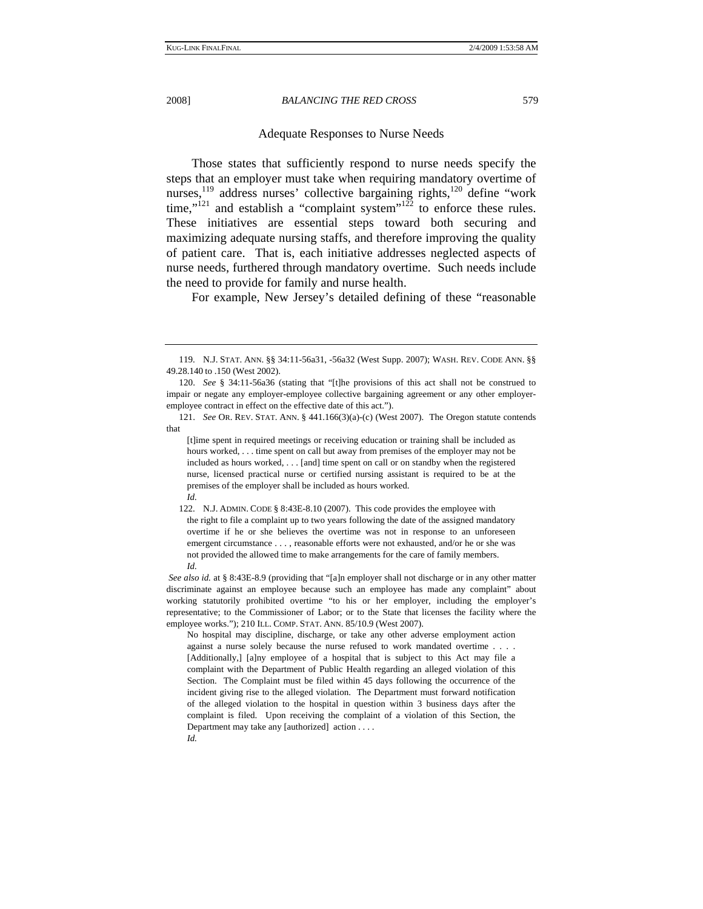# Adequate Responses to Nurse Needs

Those states that sufficiently respond to nurse needs specify the steps that an employer must take when requiring mandatory overtime of nurses,<sup>119</sup> address nurses' collective bargaining rights,<sup>120</sup> define "work" time," $121$  and establish a "complaint system" $122$  to enforce these rules. These initiatives are essential steps toward both securing and maximizing adequate nursing staffs, and therefore improving the quality of patient care. That is, each initiative addresses neglected aspects of nurse needs, furthered through mandatory overtime. Such needs include the need to provide for family and nurse health.

For example, New Jersey's detailed defining of these "reasonable

 <sup>119.</sup> N.J. STAT. ANN. §§ 34:11-56a31, -56a32 (West Supp. 2007); WASH. REV. CODE ANN. §§ 49.28.140 to .150 (West 2002).

<sup>120.</sup> *See* § 34:11-56a36 (stating that "[t]he provisions of this act shall not be construed to impair or negate any employer-employee collective bargaining agreement or any other employeremployee contract in effect on the effective date of this act.").

<sup>121.</sup> *See* OR. REV. STAT. ANN. § 441.166(3)(a)-(c) (West 2007). The Oregon statute contends that

<sup>[</sup>t]ime spent in required meetings or receiving education or training shall be included as hours worked, ... time spent on call but away from premises of the employer may not be included as hours worked, . . . [and] time spent on call or on standby when the registered nurse, licensed practical nurse or certified nursing assistant is required to be at the premises of the employer shall be included as hours worked. *Id.*

 <sup>122.</sup> N.J. ADMIN. CODE § 8:43E-8.10 (2007). This code provides the employee with the right to file a complaint up to two years following the date of the assigned mandatory overtime if he or she believes the overtime was not in response to an unforeseen emergent circumstance . . . , reasonable efforts were not exhausted, and/or he or she was not provided the allowed time to make arrangements for the care of family members. *Id.*

*See also id.* at § 8:43E-8.9 (providing that "[a]n employer shall not discharge or in any other matter discriminate against an employee because such an employee has made any complaint" about working statutorily prohibited overtime "to his or her employer, including the employer's representative; to the Commissioner of Labor; or to the State that licenses the facility where the employee works."); 210 ILL. COMP. STAT. ANN. 85/10.9 (West 2007).

No hospital may discipline, discharge, or take any other adverse employment action against a nurse solely because the nurse refused to work mandated overtime . . . . [Additionally,] [a]ny employee of a hospital that is subject to this Act may file a complaint with the Department of Public Health regarding an alleged violation of this Section. The Complaint must be filed within 45 days following the occurrence of the incident giving rise to the alleged violation. The Department must forward notification of the alleged violation to the hospital in question within 3 business days after the complaint is filed. Upon receiving the complaint of a violation of this Section, the Department may take any [authorized] action . . . . *Id.*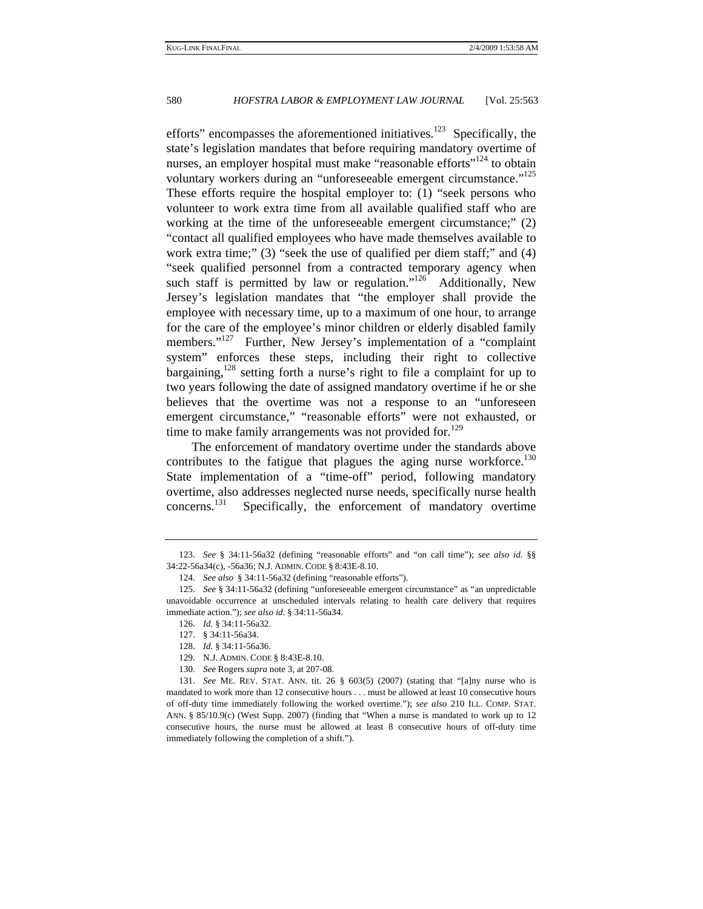efforts" encompasses the aforementioned initiatives.<sup>123</sup> Specifically, the state's legislation mandates that before requiring mandatory overtime of nurses, an employer hospital must make "reasonable efforts"<sup>124</sup> to obtain voluntary workers during an "unforeseeable emergent circumstance."<sup>125</sup> These efforts require the hospital employer to: (1) "seek persons who volunteer to work extra time from all available qualified staff who are working at the time of the unforeseeable emergent circumstance;" (2) "contact all qualified employees who have made themselves available to work extra time;" (3) "seek the use of qualified per diem staff;" and (4) "seek qualified personnel from a contracted temporary agency when such staff is permitted by law or regulation."<sup>126</sup> Additionally, New Jersey's legislation mandates that "the employer shall provide the employee with necessary time, up to a maximum of one hour, to arrange for the care of the employee's minor children or elderly disabled family members."<sup>127</sup> Further, New Jersey's implementation of a "complaint" system" enforces these steps, including their right to collective bargaining,<sup>128</sup> setting forth a nurse's right to file a complaint for up to two years following the date of assigned mandatory overtime if he or she believes that the overtime was not a response to an "unforeseen emergent circumstance," "reasonable efforts" were not exhausted, or time to make family arrangements was not provided for.<sup>129</sup>

The enforcement of mandatory overtime under the standards above contributes to the fatigue that plagues the aging nurse workforce.<sup>130</sup> State implementation of a "time-off" period, following mandatory overtime, also addresses neglected nurse needs, specifically nurse health concerns.<sup>131</sup> Specifically, the enforcement of mandatory overtime

<sup>123.</sup> *See* § 34:11-56a32 (defining "reasonable efforts" and "on call time"); *see also id.* §§ 34:22-56a34(c), -56a36; N.J. ADMIN. CODE § 8:43E-8.10.

<sup>124.</sup> *See also* § 34:11-56a32 (defining "reasonable efforts").

<sup>125.</sup> *See* § 34:11-56a32 (defining "unforeseeable emergent circumstance" as "an unpredictable unavoidable occurrence at unscheduled intervals relating to health care delivery that requires immediate action."); *see also id.* § 34:11-56a34.

<sup>126.</sup> *Id.* § 34:11-56a32.

 <sup>127. § 34:11-56</sup>a34.

<sup>128.</sup> *Id.* § 34:11-56a36.

 <sup>129.</sup> N.J. ADMIN. CODE § 8:43E-8.10.

<sup>130.</sup> *See* Rogers *supra* note 3, at 207-08.

<sup>131.</sup> *See* ME. REV. STAT. ANN. tit. 26 § 603(5) (2007) (stating that "[a]ny nurse who is mandated to work more than 12 consecutive hours . . . must be allowed at least 10 consecutive hours of off-duty time immediately following the worked overtime."); *see also* 210 ILL. COMP. STAT. ANN. § 85/10.9(c) (West Supp. 2007) (finding that "When a nurse is mandated to work up to 12 consecutive hours, the nurse must be allowed at least 8 consecutive hours of off-duty time immediately following the completion of a shift.").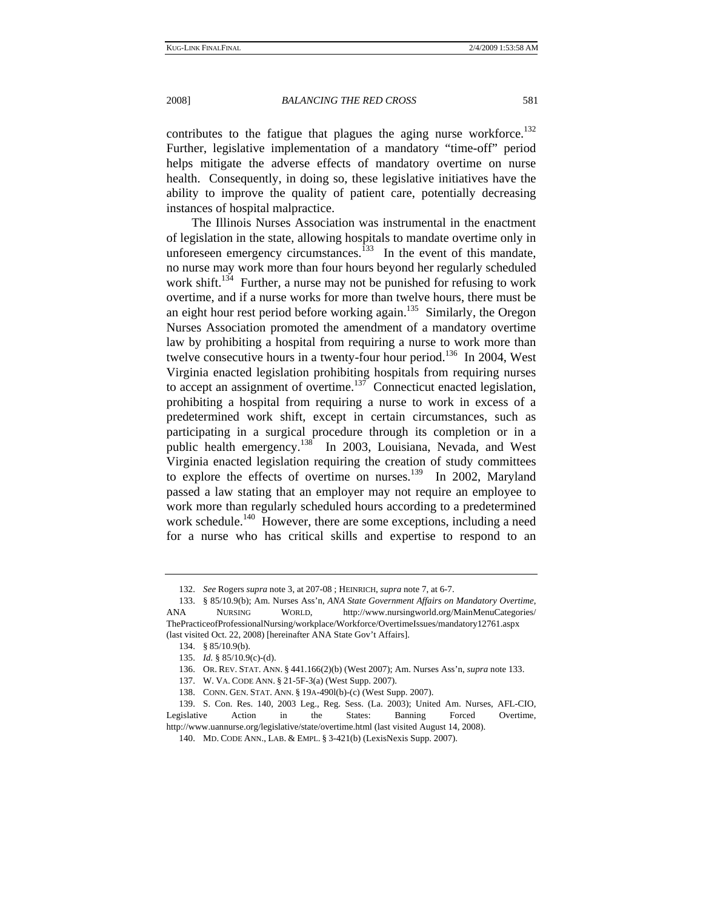contributes to the fatigue that plagues the aging nurse workforce.<sup>132</sup> Further, legislative implementation of a mandatory "time-off" period helps mitigate the adverse effects of mandatory overtime on nurse health. Consequently, in doing so, these legislative initiatives have the ability to improve the quality of patient care, potentially decreasing instances of hospital malpractice.

The Illinois Nurses Association was instrumental in the enactment of legislation in the state, allowing hospitals to mandate overtime only in unforeseen emergency circumstances.<sup>133</sup> In the event of this mandate, no nurse may work more than four hours beyond her regularly scheduled work shift.<sup>134</sup> Further, a nurse may not be punished for refusing to work overtime, and if a nurse works for more than twelve hours, there must be an eight hour rest period before working again. $135$  Similarly, the Oregon Nurses Association promoted the amendment of a mandatory overtime law by prohibiting a hospital from requiring a nurse to work more than twelve consecutive hours in a twenty-four hour period.<sup>136</sup> In 2004, West Virginia enacted legislation prohibiting hospitals from requiring nurses to accept an assignment of overtime. $137$  Connecticut enacted legislation, prohibiting a hospital from requiring a nurse to work in excess of a predetermined work shift, except in certain circumstances, such as participating in a surgical procedure through its completion or in a public health emergency.<sup>138</sup> In 2003, Louisiana, Nevada, and West Virginia enacted legislation requiring the creation of study committees to explore the effects of overtime on nurses.<sup>139</sup> In 2002, Maryland passed a law stating that an employer may not require an employee to work more than regularly scheduled hours according to a predetermined work schedule.<sup>140</sup> However, there are some exceptions, including a need for a nurse who has critical skills and expertise to respond to an

<sup>132.</sup> *See* Rogers *supra* note 3, at 207-08 ; HEINRICH, *supra* note 7, at 6-7.

 <sup>133. § 85/10.9(</sup>b); Am. Nurses Ass'n, *ANA State Government Affairs on Mandatory Overtime*, ANA NURSING WORLD, http://www.nursingworld.org/MainMenuCategories/ ThePracticeofProfessionalNursing/workplace/Workforce/OvertimeIssues/mandatory12761.aspx (last visited Oct. 22, 2008) [hereinafter ANA State Gov't Affairs].

 <sup>134. §</sup> 85/10.9(b).

<sup>135.</sup> *Id.* § 85/10.9(c)-(d).

 <sup>136.</sup> OR. REV. STAT. ANN. § 441.166(2)(b) (West 2007); Am. Nurses Ass'n, *supra* note 133.

 <sup>137.</sup> W. VA. CODE ANN. § 21-5F-3(a) (West Supp. 2007).

 <sup>138.</sup> CONN. GEN. STAT. ANN. § 19A-490l(b)-(c) (West Supp. 2007).

 <sup>139.</sup> S. Con. Res. 140, 2003 Leg., Reg. Sess. (La. 2003); United Am. Nurses, AFL-CIO, Legislative Action in the States: Banning Forced Overtime, http://www.uannurse.org/legislative/state/overtime.html (last visited August 14, 2008).

 <sup>140.</sup> MD. CODE ANN., LAB. & EMPL. § 3-421(b) (LexisNexis Supp. 2007).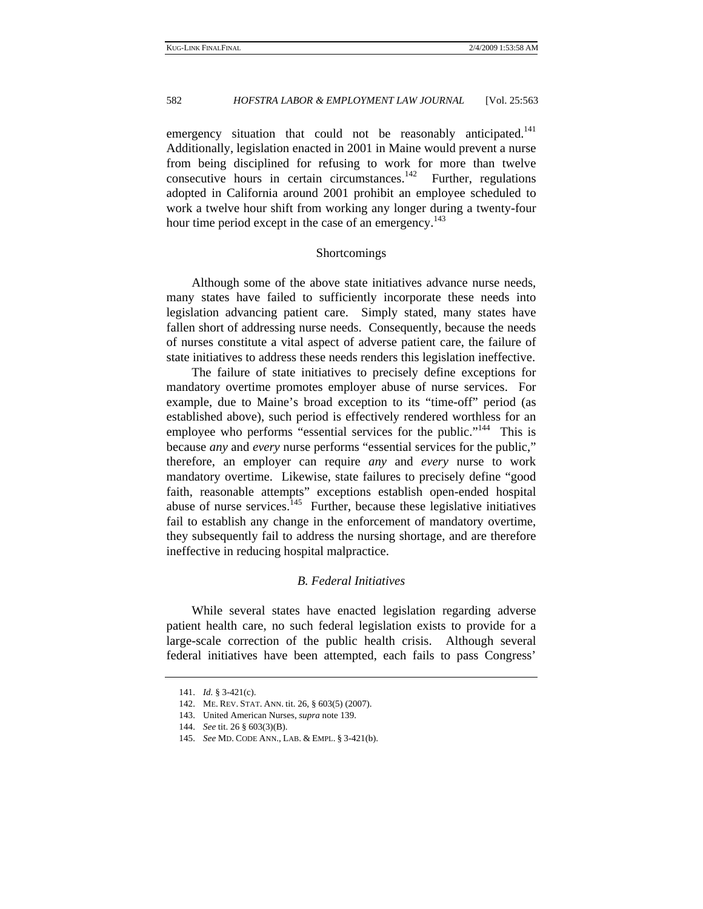emergency situation that could not be reasonably anticipated.<sup>141</sup> Additionally, legislation enacted in 2001 in Maine would prevent a nurse from being disciplined for refusing to work for more than twelve consecutive hours in certain circumstances.<sup>142</sup> Further, regulations adopted in California around 2001 prohibit an employee scheduled to work a twelve hour shift from working any longer during a twenty-four hour time period except in the case of an emergency.<sup>143</sup>

# Shortcomings

Although some of the above state initiatives advance nurse needs, many states have failed to sufficiently incorporate these needs into legislation advancing patient care. Simply stated, many states have fallen short of addressing nurse needs. Consequently, because the needs of nurses constitute a vital aspect of adverse patient care, the failure of state initiatives to address these needs renders this legislation ineffective.

The failure of state initiatives to precisely define exceptions for mandatory overtime promotes employer abuse of nurse services. For example, due to Maine's broad exception to its "time-off" period (as established above), such period is effectively rendered worthless for an employee who performs "essential services for the public."<sup>144</sup> This is because *any* and *every* nurse performs "essential services for the public," therefore, an employer can require *any* and *every* nurse to work mandatory overtime. Likewise, state failures to precisely define "good faith, reasonable attempts" exceptions establish open-ended hospital abuse of nurse services.<sup>145</sup> Further, because these legislative initiatives fail to establish any change in the enforcement of mandatory overtime, they subsequently fail to address the nursing shortage, and are therefore ineffective in reducing hospital malpractice.

# *B. Federal Initiatives*

While several states have enacted legislation regarding adverse patient health care, no such federal legislation exists to provide for a large-scale correction of the public health crisis. Although several federal initiatives have been attempted, each fails to pass Congress'

<sup>141.</sup> *Id.* § 3-421(c).

 <sup>142.</sup> ME. REV. STAT. ANN. tit. 26, § 603(5) (2007).

 <sup>143.</sup> United American Nurses, *supra* note 139.

<sup>144.</sup> *See* tit. 26 § 603(3)(B).

<sup>145.</sup> *See* MD. CODE ANN., LAB. & EMPL. § 3-421(b).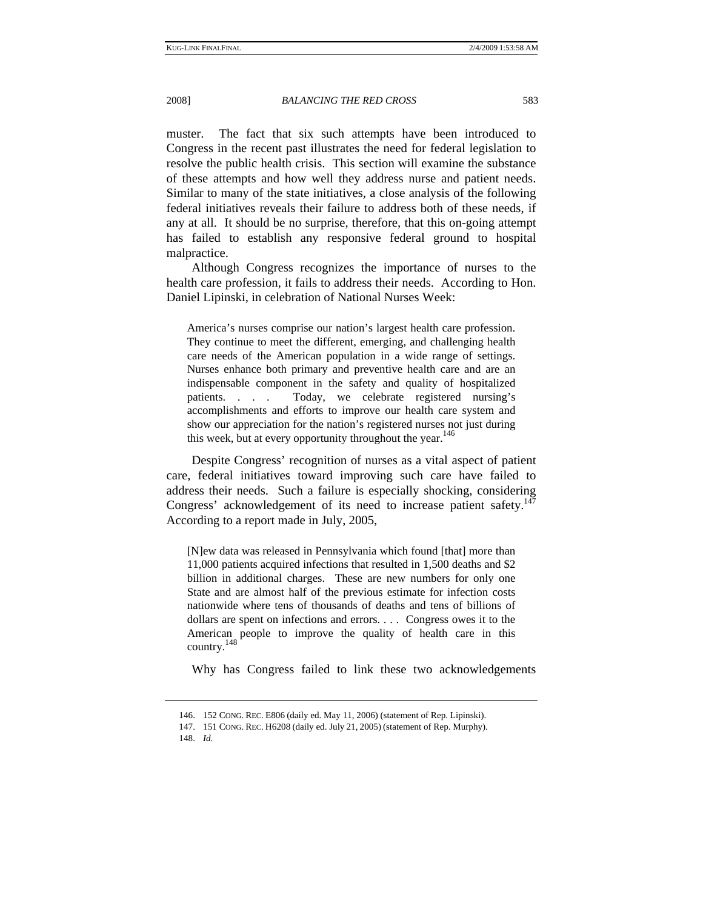muster. The fact that six such attempts have been introduced to Congress in the recent past illustrates the need for federal legislation to resolve the public health crisis. This section will examine the substance of these attempts and how well they address nurse and patient needs. Similar to many of the state initiatives, a close analysis of the following federal initiatives reveals their failure to address both of these needs, if any at all. It should be no surprise, therefore, that this on-going attempt has failed to establish any responsive federal ground to hospital malpractice.

Although Congress recognizes the importance of nurses to the health care profession, it fails to address their needs. According to Hon. Daniel Lipinski, in celebration of National Nurses Week:

America's nurses comprise our nation's largest health care profession. They continue to meet the different, emerging, and challenging health care needs of the American population in a wide range of settings. Nurses enhance both primary and preventive health care and are an indispensable component in the safety and quality of hospitalized patients. . . . Today, we celebrate registered nursing's accomplishments and efforts to improve our health care system and show our appreciation for the nation's registered nurses not just during this week, but at every opportunity throughout the year.<sup>146</sup>

Despite Congress' recognition of nurses as a vital aspect of patient care, federal initiatives toward improving such care have failed to address their needs. Such a failure is especially shocking, considering Congress' acknowledgement of its need to increase patient safety.<sup>14</sup> According to a report made in July, 2005,

[N]ew data was released in Pennsylvania which found [that] more than 11,000 patients acquired infections that resulted in 1,500 deaths and \$2 billion in additional charges. These are new numbers for only one State and are almost half of the previous estimate for infection costs nationwide where tens of thousands of deaths and tens of billions of dollars are spent on infections and errors. . . . Congress owes it to the American people to improve the quality of health care in this country.148

Why has Congress failed to link these two acknowledgements

 <sup>146. 152</sup> CONG. REC. E806 (daily ed. May 11, 2006) (statement of Rep. Lipinski).

 <sup>147. 151</sup> CONG. REC. H6208 (daily ed. July 21, 2005) (statement of Rep. Murphy).

<sup>148.</sup> *Id.*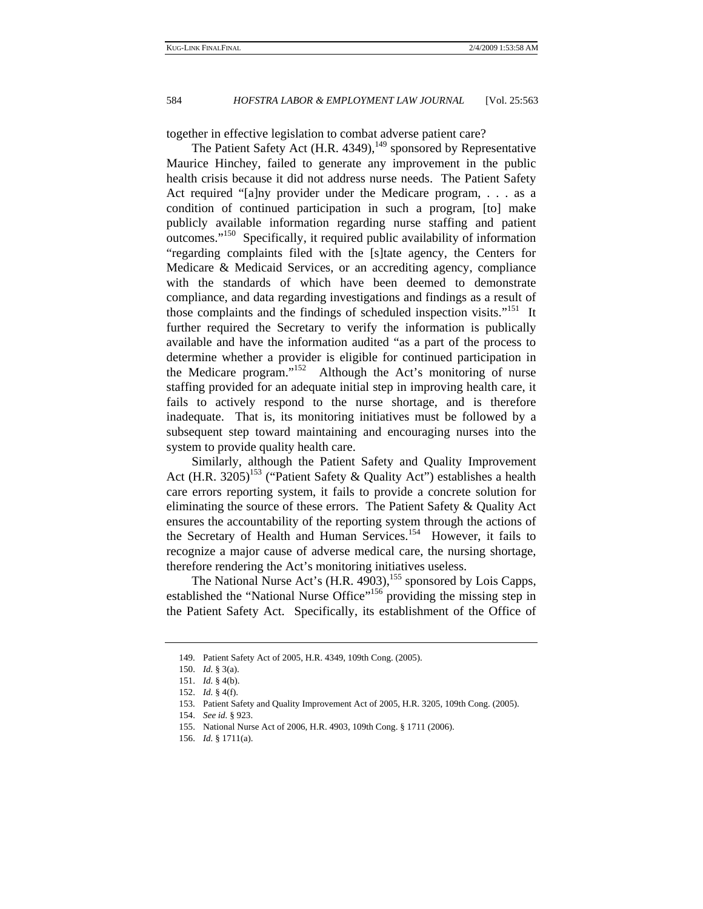together in effective legislation to combat adverse patient care?

The Patient Safety Act (H.R. 4349), $^{149}$  sponsored by Representative Maurice Hinchey, failed to generate any improvement in the public health crisis because it did not address nurse needs. The Patient Safety Act required "[a]ny provider under the Medicare program, . . . as a condition of continued participation in such a program, [to] make publicly available information regarding nurse staffing and patient outcomes."150 Specifically, it required public availability of information "regarding complaints filed with the [s]tate agency, the Centers for Medicare & Medicaid Services, or an accrediting agency, compliance with the standards of which have been deemed to demonstrate compliance, and data regarding investigations and findings as a result of those complaints and the findings of scheduled inspection visits."<sup>151</sup> It further required the Secretary to verify the information is publically available and have the information audited "as a part of the process to determine whether a provider is eligible for continued participation in the Medicare program."<sup>152</sup> Although the Act's monitoring of nurse staffing provided for an adequate initial step in improving health care, it fails to actively respond to the nurse shortage, and is therefore inadequate. That is, its monitoring initiatives must be followed by a subsequent step toward maintaining and encouraging nurses into the system to provide quality health care.

Similarly, although the Patient Safety and Quality Improvement Act (H.R. 3205)<sup>153</sup> ("Patient Safety & Quality Act") establishes a health care errors reporting system, it fails to provide a concrete solution for eliminating the source of these errors. The Patient Safety & Quality Act ensures the accountability of the reporting system through the actions of the Secretary of Health and Human Services.<sup>154</sup> However, it fails to recognize a major cause of adverse medical care, the nursing shortage, therefore rendering the Act's monitoring initiatives useless.

The National Nurse Act's (H.R. 4903),<sup>155</sup> sponsored by Lois Capps, established the "National Nurse Office"<sup>156</sup> providing the missing step in the Patient Safety Act. Specifically, its establishment of the Office of

 <sup>149.</sup> Patient Safety Act of 2005, H.R. 4349, 109th Cong. (2005).

<sup>150.</sup> *Id.* § 3(a).

<sup>151.</sup> *Id.* § 4(b).

<sup>152.</sup> *Id.* § 4(f).

 <sup>153.</sup> Patient Safety and Quality Improvement Act of 2005, H.R. 3205, 109th Cong. (2005).

<sup>154.</sup> *See id.* § 923.

 <sup>155.</sup> National Nurse Act of 2006, H.R. 4903, 109th Cong. § 1711 (2006).

<sup>156.</sup> *Id.* § 1711(a).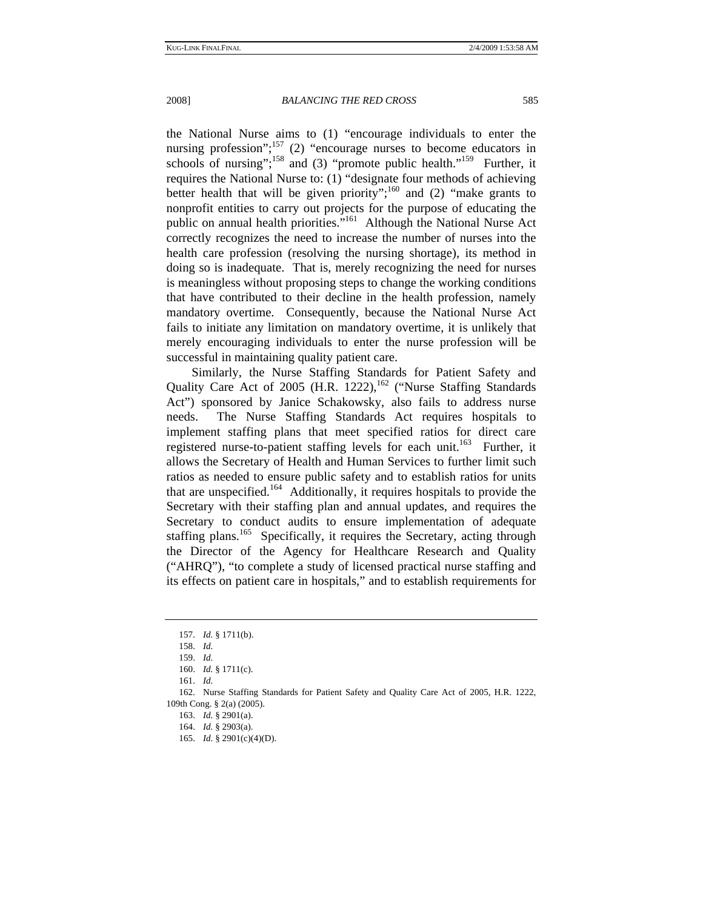the National Nurse aims to (1) "encourage individuals to enter the nursing profession";<sup>157</sup> (2) "encourage nurses to become educators in schools of nursing";<sup>158</sup> and (3) "promote public health."<sup>159</sup> Further, it requires the National Nurse to: (1) "designate four methods of achieving better health that will be given priority";<sup>160</sup> and (2) "make grants to nonprofit entities to carry out projects for the purpose of educating the public on annual health priorities."<sup>161</sup> Although the National Nurse Act correctly recognizes the need to increase the number of nurses into the health care profession (resolving the nursing shortage), its method in doing so is inadequate. That is, merely recognizing the need for nurses is meaningless without proposing steps to change the working conditions that have contributed to their decline in the health profession, namely mandatory overtime. Consequently, because the National Nurse Act fails to initiate any limitation on mandatory overtime, it is unlikely that merely encouraging individuals to enter the nurse profession will be successful in maintaining quality patient care.

Similarly, the Nurse Staffing Standards for Patient Safety and Quality Care Act of 2005 (H.R. 1222),<sup>162</sup> ("Nurse Staffing Standards Act") sponsored by Janice Schakowsky, also fails to address nurse needs. The Nurse Staffing Standards Act requires hospitals to implement staffing plans that meet specified ratios for direct care registered nurse-to-patient staffing levels for each unit.<sup>163</sup> Further, it allows the Secretary of Health and Human Services to further limit such ratios as needed to ensure public safety and to establish ratios for units that are unspecified.164 Additionally, it requires hospitals to provide the Secretary with their staffing plan and annual updates, and requires the Secretary to conduct audits to ensure implementation of adequate staffing plans.<sup>165</sup> Specifically, it requires the Secretary, acting through the Director of the Agency for Healthcare Research and Quality ("AHRQ"), "to complete a study of licensed practical nurse staffing and its effects on patient care in hospitals," and to establish requirements for

<sup>157.</sup> *Id.* § 1711(b).

<sup>158.</sup> *Id.*

<sup>159.</sup> *Id.*

<sup>160.</sup> *Id.* § 1711(c).

<sup>161.</sup> *Id.*

 <sup>162.</sup> Nurse Staffing Standards for Patient Safety and Quality Care Act of 2005, H.R. 1222, 109th Cong. § 2(a) (2005).

<sup>163.</sup> *Id.* § 2901(a).

<sup>164.</sup> *Id.* § 2903(a).

<sup>165.</sup> *Id.* § 2901(c)(4)(D).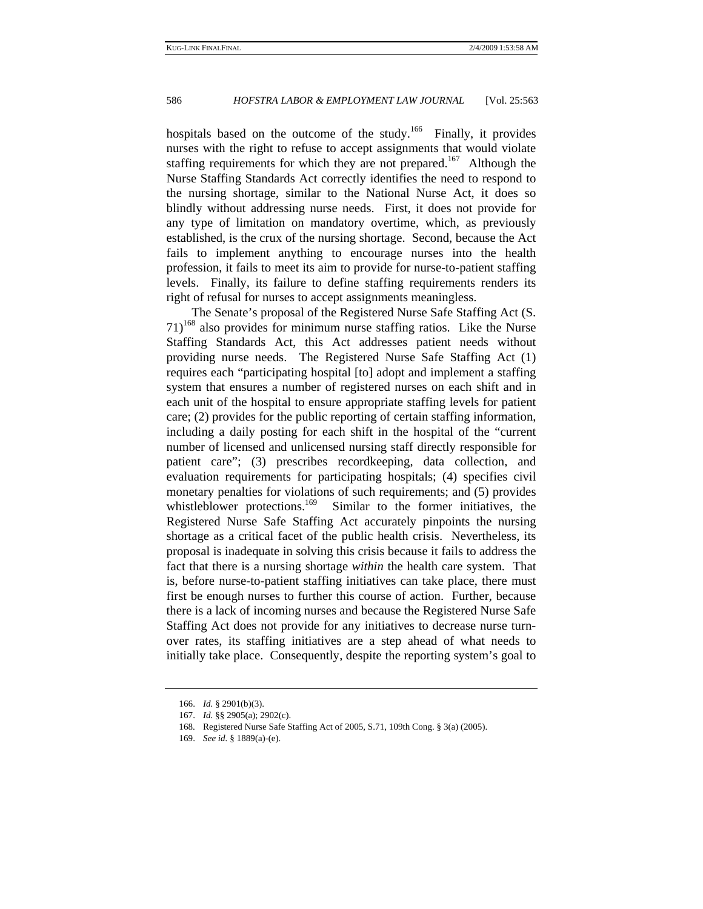hospitals based on the outcome of the study.<sup>166</sup> Finally, it provides nurses with the right to refuse to accept assignments that would violate staffing requirements for which they are not prepared.<sup>167</sup> Although the Nurse Staffing Standards Act correctly identifies the need to respond to the nursing shortage, similar to the National Nurse Act, it does so blindly without addressing nurse needs. First, it does not provide for any type of limitation on mandatory overtime, which, as previously established, is the crux of the nursing shortage. Second, because the Act fails to implement anything to encourage nurses into the health profession, it fails to meet its aim to provide for nurse-to-patient staffing levels. Finally, its failure to define staffing requirements renders its right of refusal for nurses to accept assignments meaningless.

The Senate's proposal of the Registered Nurse Safe Staffing Act (S.  $71$ )<sup>168</sup> also provides for minimum nurse staffing ratios. Like the Nurse Staffing Standards Act, this Act addresses patient needs without providing nurse needs. The Registered Nurse Safe Staffing Act (1) requires each "participating hospital [to] adopt and implement a staffing system that ensures a number of registered nurses on each shift and in each unit of the hospital to ensure appropriate staffing levels for patient care; (2) provides for the public reporting of certain staffing information, including a daily posting for each shift in the hospital of the "current number of licensed and unlicensed nursing staff directly responsible for patient care"; (3) prescribes recordkeeping, data collection, and evaluation requirements for participating hospitals; (4) specifies civil monetary penalties for violations of such requirements; and (5) provides whistleblower protections.<sup>169</sup> Similar to the former initiatives, the Registered Nurse Safe Staffing Act accurately pinpoints the nursing shortage as a critical facet of the public health crisis. Nevertheless, its proposal is inadequate in solving this crisis because it fails to address the fact that there is a nursing shortage *within* the health care system. That is, before nurse-to-patient staffing initiatives can take place, there must first be enough nurses to further this course of action. Further, because there is a lack of incoming nurses and because the Registered Nurse Safe Staffing Act does not provide for any initiatives to decrease nurse turnover rates, its staffing initiatives are a step ahead of what needs to initially take place. Consequently, despite the reporting system's goal to

<sup>166.</sup> *Id.* § 2901(b)(3).

<sup>167.</sup> *Id.* §§ 2905(a); 2902(c).

 <sup>168.</sup> Registered Nurse Safe Staffing Act of 2005, S.71, 109th Cong. § 3(a) (2005).

<sup>169.</sup> *See id.* § 1889(a)-(e).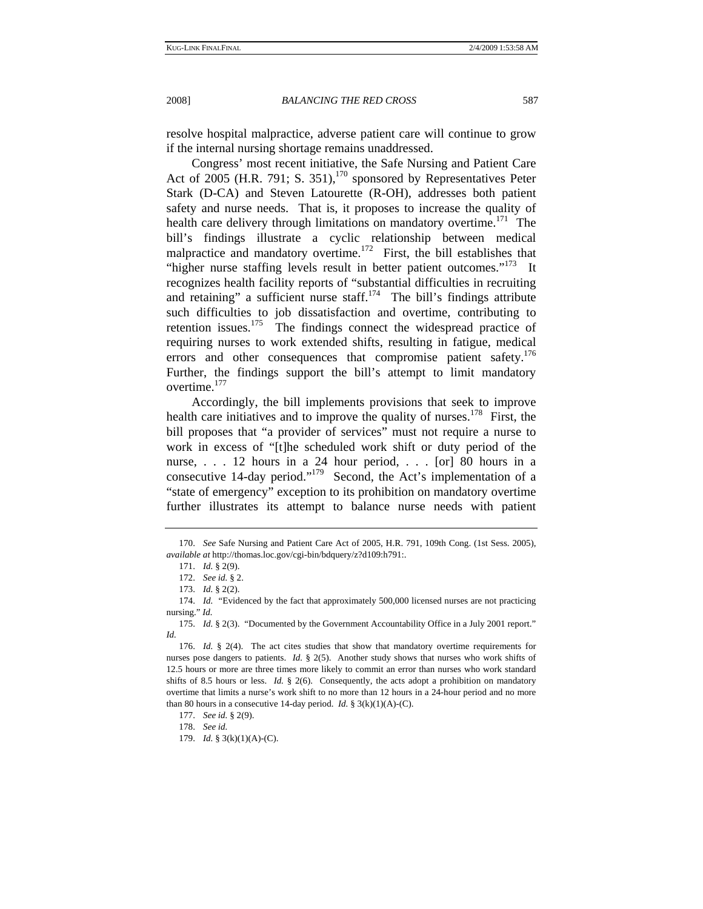resolve hospital malpractice, adverse patient care will continue to grow if the internal nursing shortage remains unaddressed.

Congress' most recent initiative, the Safe Nursing and Patient Care Act of 2005 (H.R. 791; S. 351),<sup>170</sup> sponsored by Representatives Peter Stark (D-CA) and Steven Latourette (R-OH), addresses both patient safety and nurse needs. That is, it proposes to increase the quality of health care delivery through limitations on mandatory overtime.<sup>171</sup> The bill's findings illustrate a cyclic relationship between medical malpractice and mandatory overtime.<sup>172</sup> First, the bill establishes that "higher nurse staffing levels result in better patient outcomes."<sup>173</sup> It recognizes health facility reports of "substantial difficulties in recruiting and retaining" a sufficient nurse staff. $174$  The bill's findings attribute such difficulties to job dissatisfaction and overtime, contributing to retention issues.<sup>175</sup> The findings connect the widespread practice of requiring nurses to work extended shifts, resulting in fatigue, medical errors and other consequences that compromise patient safety.<sup>176</sup> Further, the findings support the bill's attempt to limit mandatory overtime.<sup>177</sup>

Accordingly, the bill implements provisions that seek to improve health care initiatives and to improve the quality of nurses.<sup>178</sup> First, the bill proposes that "a provider of services" must not require a nurse to work in excess of "[t]he scheduled work shift or duty period of the nurse, . . . 12 hours in a 24 hour period, . . . [or] 80 hours in a consecutive 14-day period."<sup>179</sup> Second, the Act's implementation of a "state of emergency" exception to its prohibition on mandatory overtime further illustrates its attempt to balance nurse needs with patient

<sup>170.</sup> *See* Safe Nursing and Patient Care Act of 2005, H.R. 791, 109th Cong. (1st Sess. 2005), *available at* http://thomas.loc.gov/cgi-bin/bdquery/z?d109:h791:.

<sup>171.</sup> *Id.* § 2(9).

<sup>172.</sup> *See id.* § 2.

<sup>173.</sup> *Id.* § 2(2).

<sup>174.</sup> *Id.* "Evidenced by the fact that approximately 500,000 licensed nurses are not practicing nursing." *Id.*

<sup>175.</sup> *Id.* § 2(3). "Documented by the Government Accountability Office in a July 2001 report." *Id.*

<sup>176.</sup> *Id.* § 2(4). The act cites studies that show that mandatory overtime requirements for nurses pose dangers to patients. *Id.* § 2(5). Another study shows that nurses who work shifts of 12.5 hours or more are three times more likely to commit an error than nurses who work standard shifts of 8.5 hours or less. *Id.* § 2(6). Consequently, the acts adopt a prohibition on mandatory overtime that limits a nurse's work shift to no more than 12 hours in a 24-hour period and no more than 80 hours in a consecutive 14-day period. *Id.* §  $3(k)(1)(A)-(C)$ .

<sup>177.</sup> *See id.* § 2(9).

<sup>178.</sup> *See id.*

<sup>179.</sup> *Id.* § 3(k)(1)(A)-(C).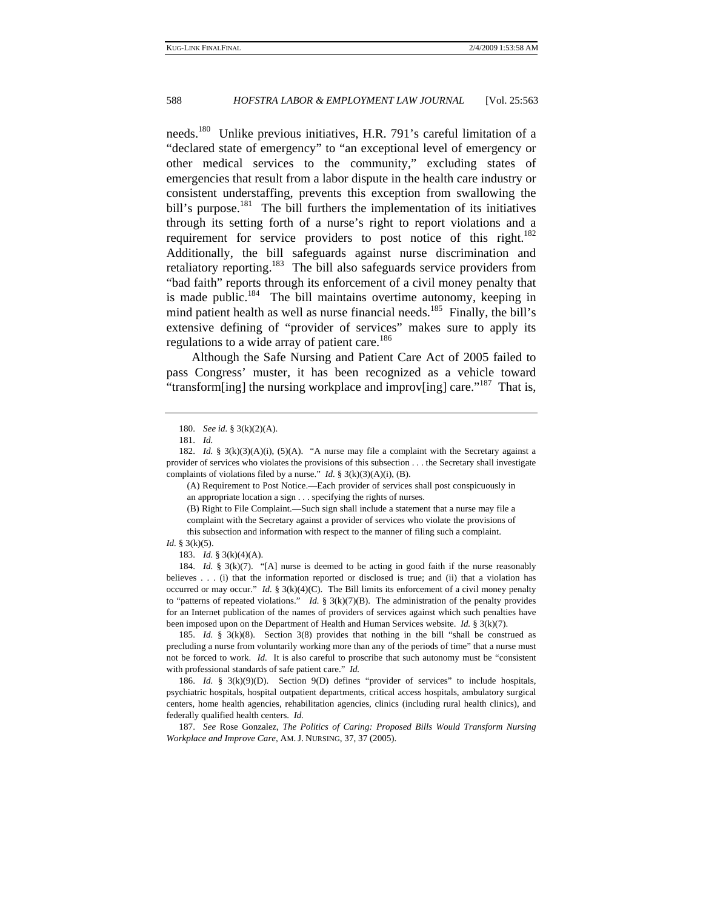needs.180 Unlike previous initiatives, H.R. 791's careful limitation of a "declared state of emergency" to "an exceptional level of emergency or other medical services to the community," excluding states of emergencies that result from a labor dispute in the health care industry or consistent understaffing, prevents this exception from swallowing the bill's purpose.<sup>181</sup> The bill furthers the implementation of its initiatives through its setting forth of a nurse's right to report violations and a requirement for service providers to post notice of this right.<sup>182</sup> Additionally, the bill safeguards against nurse discrimination and retaliatory reporting.<sup>183</sup> The bill also safeguards service providers from "bad faith" reports through its enforcement of a civil money penalty that is made public.<sup>184</sup> The bill maintains overtime autonomy, keeping in mind patient health as well as nurse financial needs.<sup>185</sup> Finally, the bill's extensive defining of "provider of services" makes sure to apply its regulations to a wide array of patient care.<sup>186</sup>

Although the Safe Nursing and Patient Care Act of 2005 failed to pass Congress' muster, it has been recognized as a vehicle toward "transform[ing] the nursing workplace and improv[ing] care."<sup>187</sup> That is,

184. *Id.* § 3(k)(7). "[A] nurse is deemed to be acting in good faith if the nurse reasonably believes . . . (i) that the information reported or disclosed is true; and (ii) that a violation has occurred or may occur." *Id.*  $\S 3(k)(4)(C)$ . The Bill limits its enforcement of a civil money penalty to "patterns of repeated violations." *Id.* § 3(k)(7)(B). The administration of the penalty provides for an Internet publication of the names of providers of services against which such penalties have been imposed upon on the Department of Health and Human Services website. *Id.* § 3(k)(7).

185. *Id.* § 3(k)(8). Section 3(8) provides that nothing in the bill "shall be construed as precluding a nurse from voluntarily working more than any of the periods of time" that a nurse must not be forced to work. *Id.* It is also careful to proscribe that such autonomy must be "consistent with professional standards of safe patient care." *Id.*

186. *Id.* § 3(k)(9)(D). Section 9(D) defines "provider of services" to include hospitals, psychiatric hospitals, hospital outpatient departments, critical access hospitals, ambulatory surgical centers, home health agencies, rehabilitation agencies, clinics (including rural health clinics), and federally qualified health centers. *Id.*

187. *See* Rose Gonzalez, *The Politics of Caring: Proposed Bills Would Transform Nursing Workplace and Improve Care*, AM. J. NURSING, 37, 37 (2005).

<sup>180.</sup> *See id.* § 3(k)(2)(A).

<sup>181.</sup> *Id.*

<sup>182.</sup> *Id.* § 3(k)(3)(A)(i), (5)(A). "A nurse may file a complaint with the Secretary against a provider of services who violates the provisions of this subsection . . . the Secretary shall investigate complaints of violations filed by a nurse." *Id.* § 3(k)(3)(A)(i), (B).

<sup>(</sup>A) Requirement to Post Notice.—Each provider of services shall post conspicuously in an appropriate location a sign . . . specifying the rights of nurses.

<sup>(</sup>B) Right to File Complaint.—Such sign shall include a statement that a nurse may file a complaint with the Secretary against a provider of services who violate the provisions of this subsection and information with respect to the manner of filing such a complaint.

*Id.* § 3(k)(5).

<sup>183.</sup> *Id.* § 3(k)(4)(A).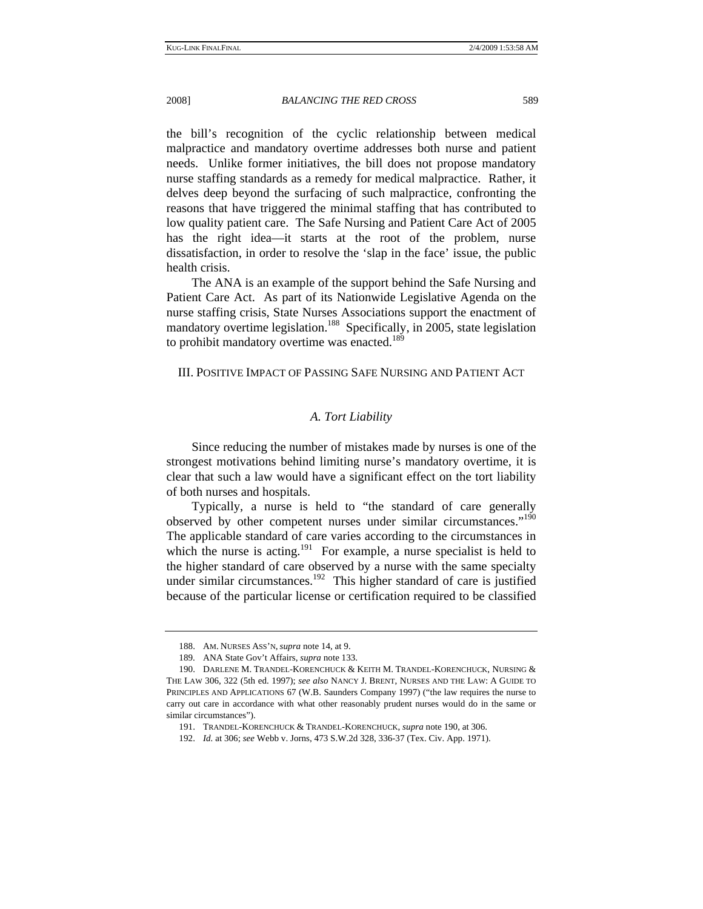the bill's recognition of the cyclic relationship between medical malpractice and mandatory overtime addresses both nurse and patient needs. Unlike former initiatives, the bill does not propose mandatory nurse staffing standards as a remedy for medical malpractice. Rather, it delves deep beyond the surfacing of such malpractice, confronting the reasons that have triggered the minimal staffing that has contributed to low quality patient care. The Safe Nursing and Patient Care Act of 2005 has the right idea—it starts at the root of the problem, nurse dissatisfaction, in order to resolve the 'slap in the face' issue, the public health crisis.

The ANA is an example of the support behind the Safe Nursing and Patient Care Act. As part of its Nationwide Legislative Agenda on the nurse staffing crisis, State Nurses Associations support the enactment of mandatory overtime legislation.<sup>188</sup> Specifically, in 2005, state legislation to prohibit mandatory overtime was enacted.<sup>189</sup>

# III. POSITIVE IMPACT OF PASSING SAFE NURSING AND PATIENT ACT

# *A. Tort Liability*

Since reducing the number of mistakes made by nurses is one of the strongest motivations behind limiting nurse's mandatory overtime, it is clear that such a law would have a significant effect on the tort liability of both nurses and hospitals.

Typically, a nurse is held to "the standard of care generally observed by other competent nurses under similar circumstances."190 The applicable standard of care varies according to the circumstances in which the nurse is acting.<sup>191</sup> For example, a nurse specialist is held to the higher standard of care observed by a nurse with the same specialty under similar circumstances.<sup>192</sup> This higher standard of care is justified because of the particular license or certification required to be classified

 <sup>188.</sup> AM. NURSES ASS'N, *supra* note 14, at 9.

 <sup>189.</sup> ANA State Gov't Affairs, *supra* note 133.

 <sup>190.</sup> DARLENE M. TRANDEL-KORENCHUCK & KEITH M. TRANDEL-KORENCHUCK, NURSING & THE LAW 306, 322 (5th ed. 1997); *see also* NANCY J. BRENT, NURSES AND THE LAW: A GUIDE TO PRINCIPLES AND APPLICATIONS 67 (W.B. Saunders Company 1997) ("the law requires the nurse to carry out care in accordance with what other reasonably prudent nurses would do in the same or similar circumstances").

 <sup>191.</sup> TRANDEL-KORENCHUCK & TRANDEL-KORENCHUCK, *supra* note 190, at 306.

<sup>192.</sup> *Id.* at 306; *see* Webb v. Jorns, 473 S.W.2d 328, 336-37 (Tex. Civ. App. 1971).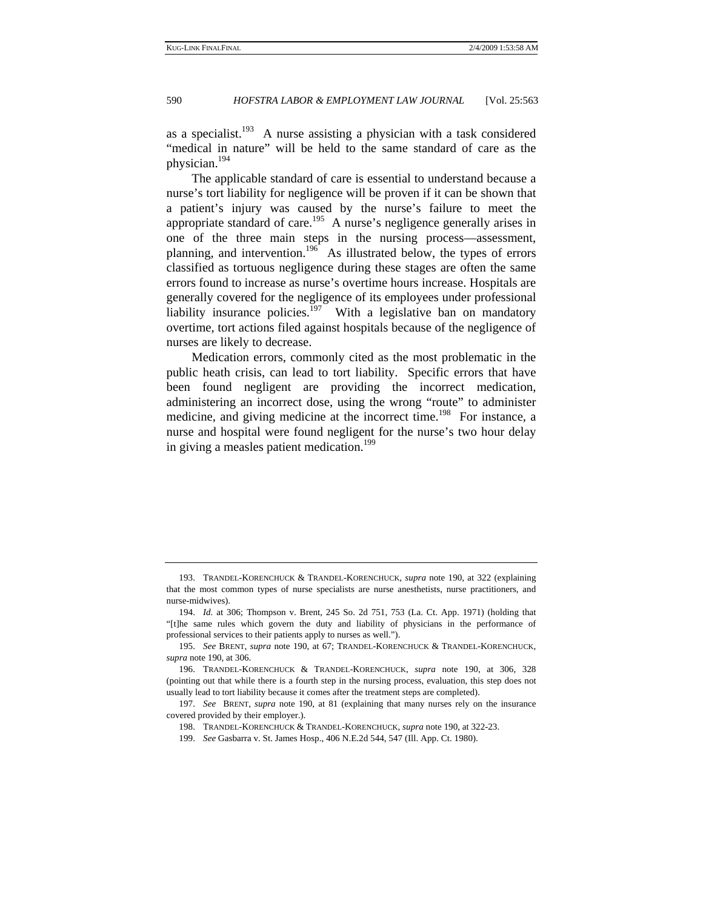as a specialist.<sup>193</sup> A nurse assisting a physician with a task considered "medical in nature" will be held to the same standard of care as the physician.194

The applicable standard of care is essential to understand because a nurse's tort liability for negligence will be proven if it can be shown that a patient's injury was caused by the nurse's failure to meet the appropriate standard of care.<sup>195</sup> A nurse's negligence generally arises in one of the three main steps in the nursing process—assessment, planning, and intervention.<sup>196</sup> As illustrated below, the types of errors classified as tortuous negligence during these stages are often the same errors found to increase as nurse's overtime hours increase. Hospitals are generally covered for the negligence of its employees under professional liability insurance policies.<sup>197</sup> With a legislative ban on mandatory overtime, tort actions filed against hospitals because of the negligence of nurses are likely to decrease.

Medication errors, commonly cited as the most problematic in the public heath crisis, can lead to tort liability. Specific errors that have been found negligent are providing the incorrect medication, administering an incorrect dose, using the wrong "route" to administer medicine, and giving medicine at the incorrect time.<sup>198</sup> For instance, a nurse and hospital were found negligent for the nurse's two hour delay in giving a measles patient medication.<sup>199</sup>

 <sup>193.</sup> TRANDEL-KORENCHUCK & TRANDEL-KORENCHUCK, *supra* note 190, at 322 (explaining that the most common types of nurse specialists are nurse anesthetists, nurse practitioners, and nurse-midwives).

<sup>194.</sup> *Id.* at 306; Thompson v. Brent, 245 So. 2d 751, 753 (La. Ct. App. 1971) (holding that "[t]he same rules which govern the duty and liability of physicians in the performance of professional services to their patients apply to nurses as well.").

<sup>195.</sup> *See* BRENT, *supra* note 190, at 67; TRANDEL-KORENCHUCK & TRANDEL-KORENCHUCK, *supra* note 190, at 306.

 <sup>196.</sup> TRANDEL-KORENCHUCK & TRANDEL-KORENCHUCK, *supra* note 190, at 306, 328 (pointing out that while there is a fourth step in the nursing process, evaluation, this step does not usually lead to tort liability because it comes after the treatment steps are completed).

<sup>197.</sup> *See* BRENT, *supra* note 190, at 81 (explaining that many nurses rely on the insurance covered provided by their employer.).

 <sup>198.</sup> TRANDEL-KORENCHUCK & TRANDEL-KORENCHUCK, *supra* note 190, at 322-23.

<sup>199.</sup> *See* Gasbarra v. St. James Hosp., 406 N.E.2d 544, 547 (Ill. App. Ct. 1980).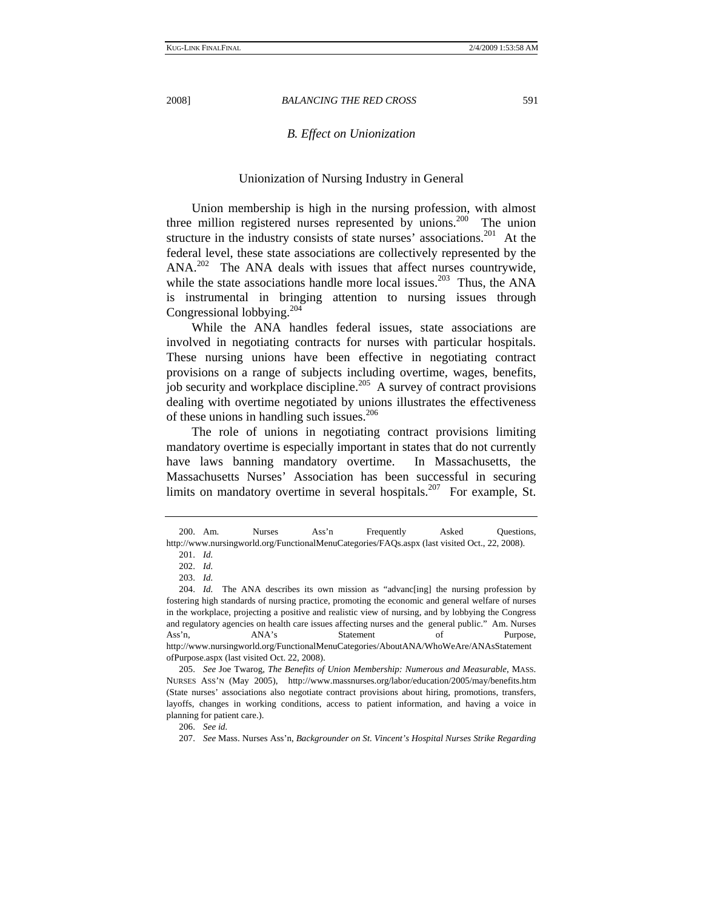# *B. Effect on Unionization*

#### Unionization of Nursing Industry in General

Union membership is high in the nursing profession, with almost three million registered nurses represented by unions.<sup>200</sup> The union structure in the industry consists of state nurses' associations.<sup>201</sup> At the federal level, these state associations are collectively represented by the ANA.<sup>202</sup> The ANA deals with issues that affect nurses countrywide, while the state associations handle more local issues.<sup>203</sup> Thus, the ANA is instrumental in bringing attention to nursing issues through Congressional lobbying.204

While the ANA handles federal issues, state associations are involved in negotiating contracts for nurses with particular hospitals. These nursing unions have been effective in negotiating contract provisions on a range of subjects including overtime, wages, benefits, job security and workplace discipline.<sup>205</sup> A survey of contract provisions dealing with overtime negotiated by unions illustrates the effectiveness of these unions in handling such issues.<sup>206</sup>

The role of unions in negotiating contract provisions limiting mandatory overtime is especially important in states that do not currently have laws banning mandatory overtime. In Massachusetts, the Massachusetts Nurses' Association has been successful in securing limits on mandatory overtime in several hospitals.<sup>207</sup> For example, St.

 <sup>200.</sup> Am. Nurses Ass'n Frequently Asked Questions, http://www.nursingworld.org/FunctionalMenuCategories/FAQs.aspx (last visited Oct., 22, 2008). 201. *Id.* 

<sup>202.</sup> *Id.* 

<sup>203.</sup> *Id.*

<sup>204.</sup> *Id.* The ANA describes its own mission as "advanc[ing] the nursing profession by fostering high standards of nursing practice, promoting the economic and general welfare of nurses in the workplace, projecting a positive and realistic view of nursing, and by lobbying the Congress and regulatory agencies on health care issues affecting nurses and the general public." Am. Nurses Ass'n, ANA's Statement of Purpose, http://www.nursingworld.org/FunctionalMenuCategories/AboutANA/WhoWeAre/ANAsStatement ofPurpose.aspx (last visited Oct. 22, 2008).

<sup>205.</sup> *See* Joe Twarog, *The Benefits of Union Membership: Numerous and Measurable*, MASS. NURSES ASS'N (May 2005), http://www.massnurses.org/labor/education/2005/may/benefits.htm (State nurses' associations also negotiate contract provisions about hiring, promotions, transfers, layoffs, changes in working conditions, access to patient information, and having a voice in planning for patient care.).

<sup>206.</sup> *See id.*

<sup>207.</sup> *See* Mass. Nurses Ass'n, *Backgrounder on St. Vincent's Hospital Nurses Strike Regarding*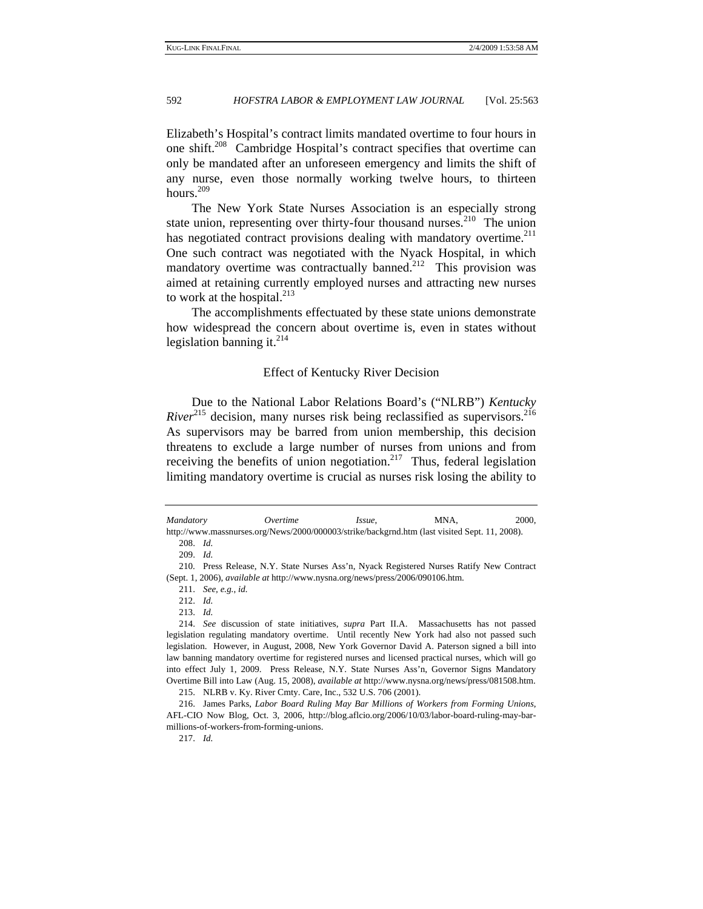Elizabeth's Hospital's contract limits mandated overtime to four hours in one shift.<sup>208</sup> Cambridge Hospital's contract specifies that overtime can only be mandated after an unforeseen emergency and limits the shift of any nurse, even those normally working twelve hours, to thirteen hours.<sup>209</sup>

The New York State Nurses Association is an especially strong state union, representing over thirty-four thousand nurses. $210$  The union has negotiated contract provisions dealing with mandatory overtime.<sup>211</sup> One such contract was negotiated with the Nyack Hospital, in which mandatory overtime was contractually banned.<sup>212</sup> This provision was aimed at retaining currently employed nurses and attracting new nurses to work at the hospital. $213$ 

The accomplishments effectuated by these state unions demonstrate how widespread the concern about overtime is, even in states without legislation banning it. $^{214}$ 

#### Effect of Kentucky River Decision

Due to the National Labor Relations Board's ("NLRB") *Kentucky River*<sup>215</sup> decision, many nurses risk being reclassified as supervisors.<sup>216</sup> As supervisors may be barred from union membership, this decision threatens to exclude a large number of nurses from unions and from receiving the benefits of union negotiation.<sup>217</sup> Thus, federal legislation limiting mandatory overtime is crucial as nurses risk losing the ability to

*Mandatory Overtime Issue*, MNA, 2000, http://www.massnurses.org/News/2000/000003/strike/backgrnd.htm (last visited Sept. 11, 2008). 208. *Id.* 

<sup>209.</sup> *Id.* 

 <sup>210.</sup> Press Release, N.Y. State Nurses Ass'n, Nyack Registered Nurses Ratify New Contract (Sept. 1, 2006), *available at* http://www.nysna.org/news/press/2006/090106.htm.

<sup>211.</sup> *See, e.g.*, *id.*

<sup>212.</sup> *Id.*

<sup>213.</sup> *Id.* 

<sup>214.</sup> *See* discussion of state initiatives, *supra* Part II.A. Massachusetts has not passed legislation regulating mandatory overtime. Until recently New York had also not passed such legislation. However, in August, 2008, New York Governor David A. Paterson signed a bill into law banning mandatory overtime for registered nurses and licensed practical nurses, which will go into effect July 1, 2009. Press Release, N.Y. State Nurses Ass'n, Governor Signs Mandatory Overtime Bill into Law (Aug. 15, 2008), *available at* http://www.nysna.org/news/press/081508.htm. 215. NLRB v. Ky. River Cmty. Care, Inc., 532 U.S. 706 (2001).

 <sup>216.</sup> James Parks, *Labor Board Ruling May Bar Millions of Workers from Forming Unions*,

AFL-CIO Now Blog, Oct. 3, 2006, http://blog.aflcio.org/2006/10/03/labor-board-ruling-may-barmillions-of-workers-from-forming-unions.

<sup>217.</sup> *Id.*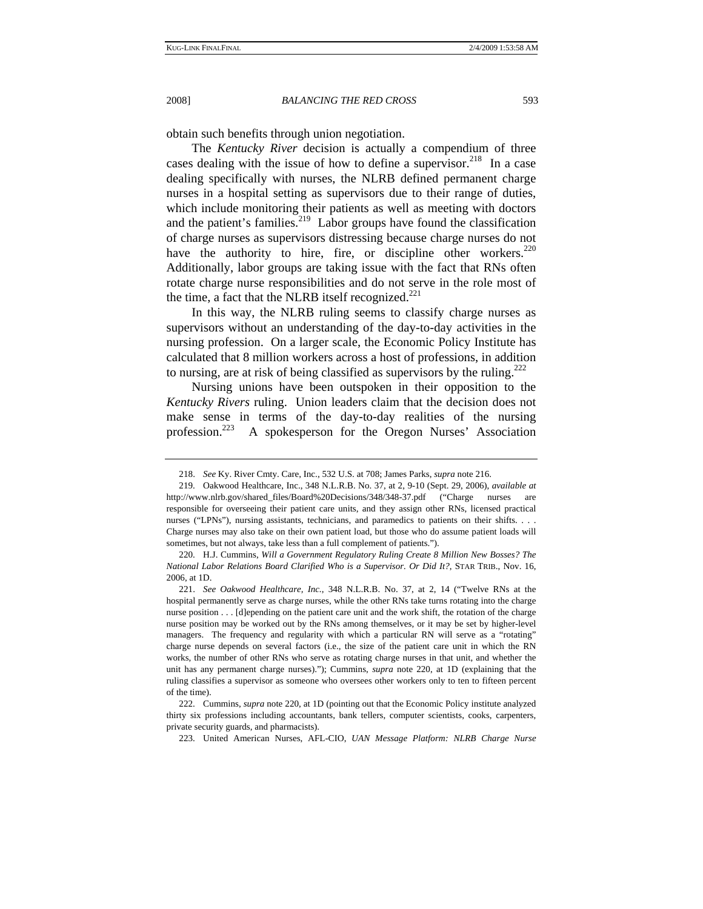obtain such benefits through union negotiation.

The *Kentucky River* decision is actually a compendium of three cases dealing with the issue of how to define a supervisor.<sup>218</sup> In a case dealing specifically with nurses, the NLRB defined permanent charge nurses in a hospital setting as supervisors due to their range of duties, which include monitoring their patients as well as meeting with doctors and the patient's families. $2^{19}$  Labor groups have found the classification of charge nurses as supervisors distressing because charge nurses do not have the authority to hire, fire, or discipline other workers. $220$ Additionally, labor groups are taking issue with the fact that RNs often rotate charge nurse responsibilities and do not serve in the role most of the time, a fact that the NLRB itself recognized. $^{221}$ 

In this way, the NLRB ruling seems to classify charge nurses as supervisors without an understanding of the day-to-day activities in the nursing profession. On a larger scale, the Economic Policy Institute has calculated that 8 million workers across a host of professions, in addition to nursing, are at risk of being classified as supervisors by the ruling.<sup>222</sup>

Nursing unions have been outspoken in their opposition to the *Kentucky Rivers* ruling. Union leaders claim that the decision does not make sense in terms of the day-to-day realities of the nursing profession.223 A spokesperson for the Oregon Nurses' Association

223. United American Nurses, AFL-CIO, *UAN Message Platform: NLRB Charge Nurse* 

<sup>218.</sup> *See* Ky. River Cmty. Care, Inc., 532 U.S. at 708; James Parks, *supra* note 216.

 <sup>219.</sup> Oakwood Healthcare, Inc., 348 N.L.R.B. No. 37, at 2, 9-10 (Sept. 29, 2006), *available at* http://www.nlrb.gov/shared\_files/Board%20Decisions/348/348-37.pdf ("Charge nurses are responsible for overseeing their patient care units, and they assign other RNs, licensed practical nurses ("LPNs"), nursing assistants, technicians, and paramedics to patients on their shifts. . Charge nurses may also take on their own patient load, but those who do assume patient loads will sometimes, but not always, take less than a full complement of patients.").

 <sup>220.</sup> H.J. Cummins, *Will a Government Regulatory Ruling Create 8 Million New Bosses? The National Labor Relations Board Clarified Who is a Supervisor. Or Did It?*, STAR TRIB., Nov. 16, 2006, at 1D.

<sup>221.</sup> *See Oakwood Healthcare, Inc.*, 348 N.L.R.B. No. 37, at 2, 14 ("Twelve RNs at the hospital permanently serve as charge nurses, while the other RNs take turns rotating into the charge nurse position . . . [d]epending on the patient care unit and the work shift, the rotation of the charge nurse position may be worked out by the RNs among themselves, or it may be set by higher-level managers. The frequency and regularity with which a particular RN will serve as a "rotating" charge nurse depends on several factors (i.e., the size of the patient care unit in which the RN works, the number of other RNs who serve as rotating charge nurses in that unit, and whether the unit has any permanent charge nurses)."); Cummins, *supra* note 220, at 1D (explaining that the ruling classifies a supervisor as someone who oversees other workers only to ten to fifteen percent of the time).

 <sup>222.</sup> Cummins, *supra* note 220, at 1D (pointing out that the Economic Policy institute analyzed thirty six professions including accountants, bank tellers, computer scientists, cooks, carpenters, private security guards, and pharmacists).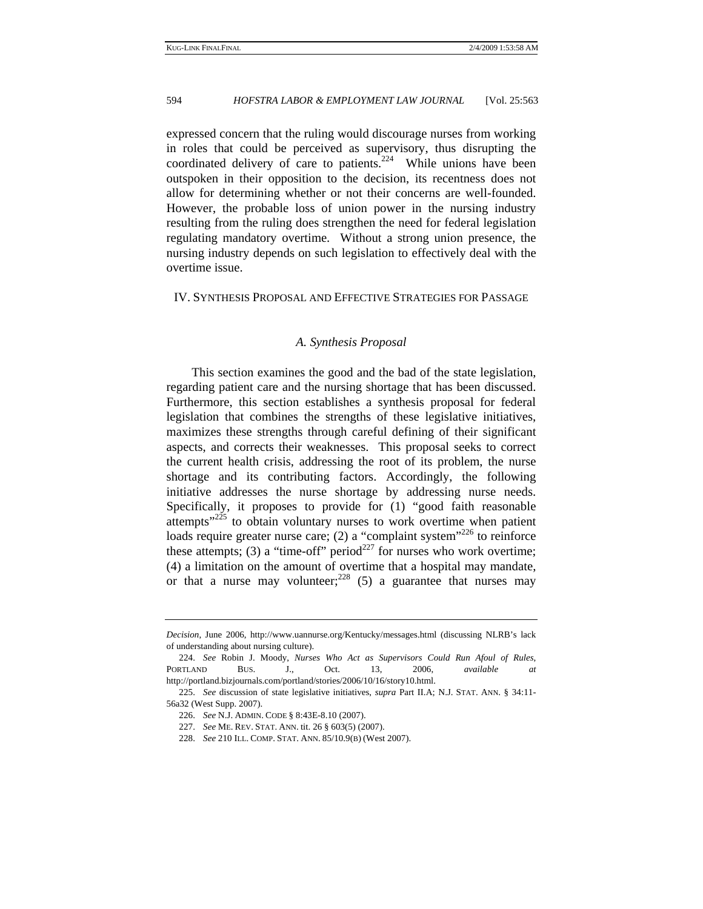expressed concern that the ruling would discourage nurses from working in roles that could be perceived as supervisory, thus disrupting the coordinated delivery of care to patients.<sup>224</sup> While unions have been outspoken in their opposition to the decision, its recentness does not allow for determining whether or not their concerns are well-founded. However, the probable loss of union power in the nursing industry resulting from the ruling does strengthen the need for federal legislation regulating mandatory overtime. Without a strong union presence, the nursing industry depends on such legislation to effectively deal with the overtime issue.

IV. SYNTHESIS PROPOSAL AND EFFECTIVE STRATEGIES FOR PASSAGE

#### *A. Synthesis Proposal*

This section examines the good and the bad of the state legislation, regarding patient care and the nursing shortage that has been discussed. Furthermore, this section establishes a synthesis proposal for federal legislation that combines the strengths of these legislative initiatives, maximizes these strengths through careful defining of their significant aspects, and corrects their weaknesses. This proposal seeks to correct the current health crisis, addressing the root of its problem, the nurse shortage and its contributing factors. Accordingly, the following initiative addresses the nurse shortage by addressing nurse needs. Specifically, it proposes to provide for (1) "good faith reasonable attempts" $225$  to obtain voluntary nurses to work overtime when patient loads require greater nurse care; (2) a "complaint system"<sup>226</sup> to reinforce these attempts; (3) a "time-off" period<sup>227</sup> for nurses who work overtime; (4) a limitation on the amount of overtime that a hospital may mandate, or that a nurse may volunteer;<sup>228</sup> (5) a guarantee that nurses may

*Decision*, June 2006, http://www.uannurse.org/Kentucky/messages.html (discussing NLRB's lack of understanding about nursing culture).

<sup>224.</sup> *See* Robin J. Moody, *Nurses Who Act as Supervisors Could Run Afoul of Rules*, PORTLAND BUS. J., Oct. 13, 2006, *available at* http://portland.bizjournals.com/portland/stories/2006/10/16/story10.html.

<sup>225.</sup> *See* discussion of state legislative initiatives, *supra* Part II.A; N.J. STAT. ANN. § 34:11- 56a32 (West Supp. 2007).

<sup>226.</sup> *See* N.J. ADMIN. CODE § 8:43E-8.10 (2007).

<sup>227.</sup> *See* ME. REV. STAT. ANN. tit. 26 § 603(5) (2007).

<sup>228.</sup> *See* 210 ILL. COMP. STAT. ANN. 85/10.9(B) (West 2007).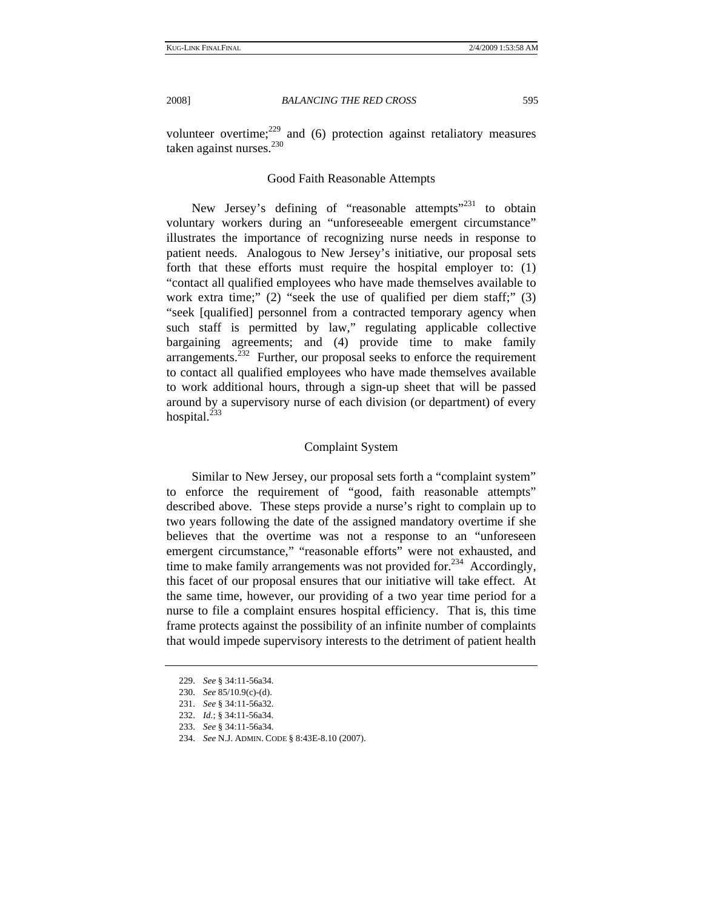volunteer overtime; $229$  and (6) protection against retaliatory measures taken against nurses. $230$ 

# Good Faith Reasonable Attempts

New Jersey's defining of "reasonable attempts"<sup>231</sup> to obtain voluntary workers during an "unforeseeable emergent circumstance" illustrates the importance of recognizing nurse needs in response to patient needs. Analogous to New Jersey's initiative, our proposal sets forth that these efforts must require the hospital employer to: (1) "contact all qualified employees who have made themselves available to work extra time;" (2) "seek the use of qualified per diem staff;" (3) "seek [qualified] personnel from a contracted temporary agency when such staff is permitted by law," regulating applicable collective bargaining agreements; and (4) provide time to make family  $\alpha$  arrangements.<sup>232</sup> Further, our proposal seeks to enforce the requirement to contact all qualified employees who have made themselves available to work additional hours, through a sign-up sheet that will be passed around by a supervisory nurse of each division (or department) of every hospital. $^{233}$ 

# Complaint System

Similar to New Jersey, our proposal sets forth a "complaint system" to enforce the requirement of "good, faith reasonable attempts" described above. These steps provide a nurse's right to complain up to two years following the date of the assigned mandatory overtime if she believes that the overtime was not a response to an "unforeseen emergent circumstance," "reasonable efforts" were not exhausted, and time to make family arrangements was not provided for.<sup>234</sup> Accordingly, this facet of our proposal ensures that our initiative will take effect. At the same time, however, our providing of a two year time period for a nurse to file a complaint ensures hospital efficiency. That is, this time frame protects against the possibility of an infinite number of complaints that would impede supervisory interests to the detriment of patient health

<sup>229.</sup> *See* § 34:11-56a34.

<sup>230.</sup> *See* 85/10.9(c)-(d).

<sup>231.</sup> *See* § 34:11-56a32.

<sup>232.</sup> *Id.*; § 34:11-56a34.

<sup>233.</sup> *See* § 34:11-56a34.

<sup>234.</sup> *See* N.J. ADMIN. CODE § 8:43E-8.10 (2007).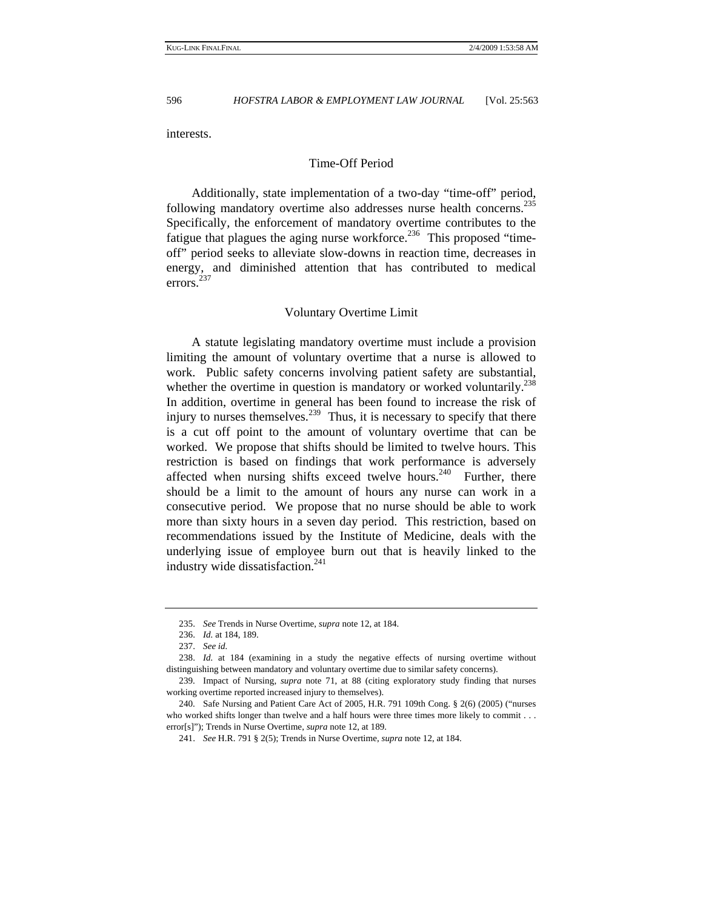interests.

# Time-Off Period

Additionally, state implementation of a two-day "time-off" period, following mandatory overtime also addresses nurse health concerns.<sup>235</sup> Specifically, the enforcement of mandatory overtime contributes to the fatigue that plagues the aging nurse workforce.<sup>236</sup> This proposed "timeoff" period seeks to alleviate slow-downs in reaction time, decreases in energy, and diminished attention that has contributed to medical errors.<sup>237</sup>

#### Voluntary Overtime Limit

A statute legislating mandatory overtime must include a provision limiting the amount of voluntary overtime that a nurse is allowed to work. Public safety concerns involving patient safety are substantial, whether the overtime in question is mandatory or worked voluntarily.<sup>238</sup> In addition, overtime in general has been found to increase the risk of injury to nurses themselves.<sup>239</sup> Thus, it is necessary to specify that there is a cut off point to the amount of voluntary overtime that can be worked. We propose that shifts should be limited to twelve hours. This restriction is based on findings that work performance is adversely affected when nursing shifts exceed twelve hours.<sup>240</sup> Further, there should be a limit to the amount of hours any nurse can work in a consecutive period. We propose that no nurse should be able to work more than sixty hours in a seven day period. This restriction, based on recommendations issued by the Institute of Medicine, deals with the underlying issue of employee burn out that is heavily linked to the industry wide dissatisfaction.<sup>241</sup>

<sup>235.</sup> *See* Trends in Nurse Overtime, *supra* note 12, at 184.

<sup>236.</sup> *Id.* at 184, 189.

<sup>237.</sup> *See id.* 

<sup>238.</sup> *Id.* at 184 (examining in a study the negative effects of nursing overtime without distinguishing between mandatory and voluntary overtime due to similar safety concerns).

 <sup>239.</sup> Impact of Nursing, *supra* note 71, at 88 (citing exploratory study finding that nurses working overtime reported increased injury to themselves).

 <sup>240.</sup> Safe Nursing and Patient Care Act of 2005, H.R. 791 109th Cong. § 2(6) (2005) ("nurses who worked shifts longer than twelve and a half hours were three times more likely to commit . . . error[s]"); Trends in Nurse Overtime, *supra* note 12, at 189.

<sup>241.</sup> *See* H.R. 791 § 2(5); Trends in Nurse Overtime, *supra* note 12, at 184.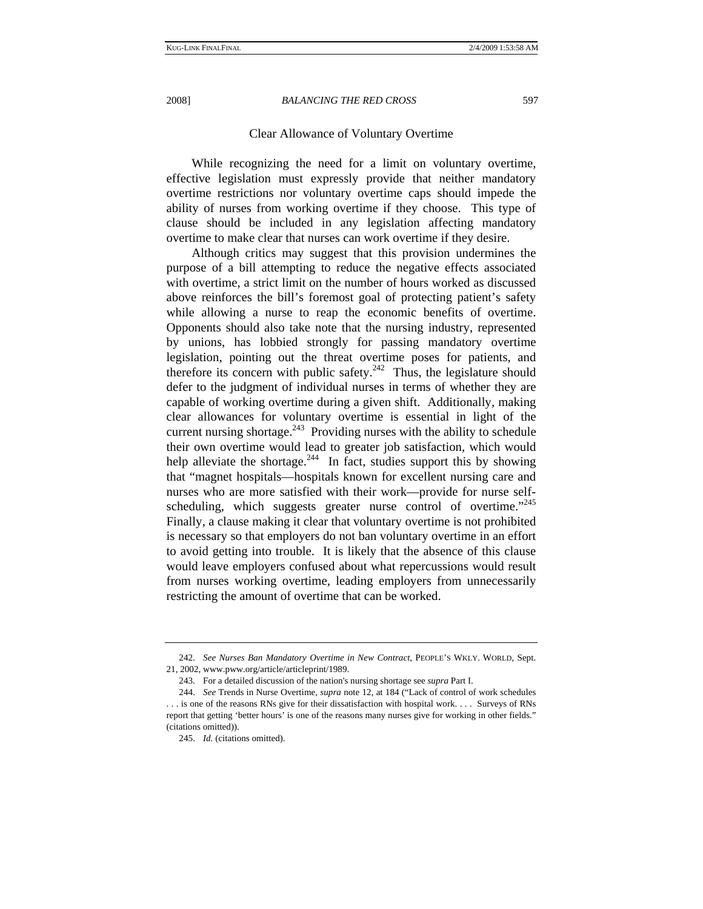# Clear Allowance of Voluntary Overtime

While recognizing the need for a limit on voluntary overtime, effective legislation must expressly provide that neither mandatory overtime restrictions nor voluntary overtime caps should impede the ability of nurses from working overtime if they choose. This type of clause should be included in any legislation affecting mandatory overtime to make clear that nurses can work overtime if they desire.

Although critics may suggest that this provision undermines the purpose of a bill attempting to reduce the negative effects associated with overtime, a strict limit on the number of hours worked as discussed above reinforces the bill's foremost goal of protecting patient's safety while allowing a nurse to reap the economic benefits of overtime. Opponents should also take note that the nursing industry, represented by unions, has lobbied strongly for passing mandatory overtime legislation, pointing out the threat overtime poses for patients, and therefore its concern with public safety.<sup>242</sup> Thus, the legislature should defer to the judgment of individual nurses in terms of whether they are capable of working overtime during a given shift. Additionally, making clear allowances for voluntary overtime is essential in light of the current nursing shortage.<sup>243</sup> Providing nurses with the ability to schedule their own overtime would lead to greater job satisfaction, which would help alleviate the shortage.<sup>244</sup> In fact, studies support this by showing that "magnet hospitals—hospitals known for excellent nursing care and nurses who are more satisfied with their work—provide for nurse selfscheduling, which suggests greater nurse control of overtime."<sup>245</sup> Finally, a clause making it clear that voluntary overtime is not prohibited is necessary so that employers do not ban voluntary overtime in an effort to avoid getting into trouble. It is likely that the absence of this clause would leave employers confused about what repercussions would result from nurses working overtime, leading employers from unnecessarily restricting the amount of overtime that can be worked.

<sup>242.</sup> *See Nurses Ban Mandatory Overtime in New Contract*, PEOPLE'S WKLY. WORLD, Sept. 21, 2002, www.pww.org/article/articleprint/1989.

 <sup>243.</sup> For a detailed discussion of the nation's nursing shortage see *supra* Part I.

<sup>244.</sup> *See* Trends in Nurse Overtime, *supra* note 12, at 184 ("Lack of control of work schedules . . . is one of the reasons RNs give for their dissatisfaction with hospital work. . . . Surveys of RNs

report that getting 'better hours' is one of the reasons many nurses give for working in other fields." (citations omitted)).

<sup>245.</sup> *Id.* (citations omitted).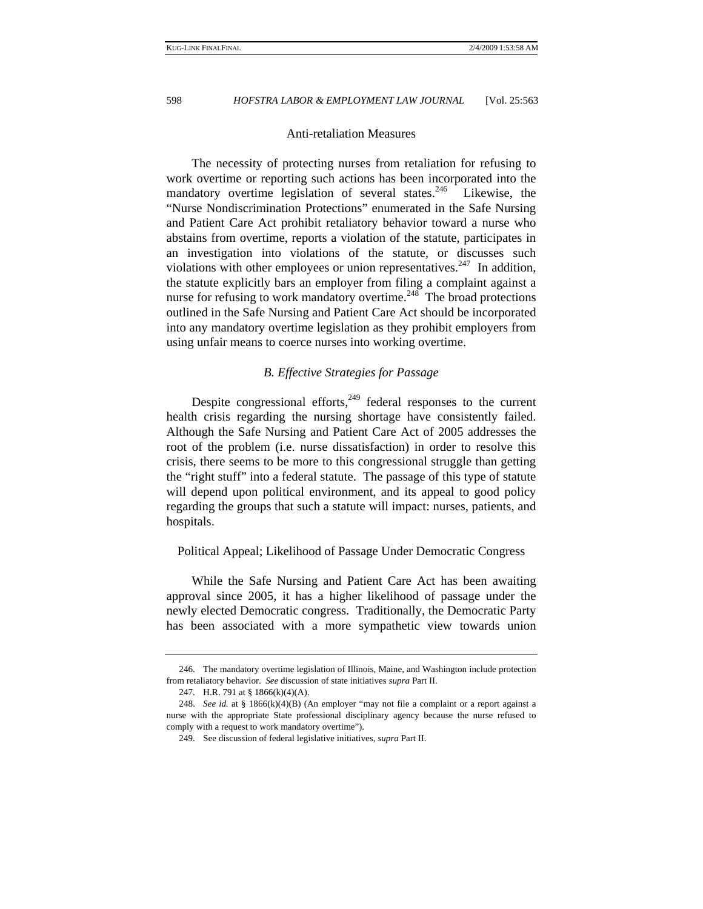# Anti-retaliation Measures

The necessity of protecting nurses from retaliation for refusing to work overtime or reporting such actions has been incorporated into the mandatory overtime legislation of several states.<sup>246</sup> Likewise, the "Nurse Nondiscrimination Protections" enumerated in the Safe Nursing and Patient Care Act prohibit retaliatory behavior toward a nurse who abstains from overtime, reports a violation of the statute, participates in an investigation into violations of the statute, or discusses such violations with other employees or union representatives.<sup>247</sup> In addition, the statute explicitly bars an employer from filing a complaint against a nurse for refusing to work mandatory overtime.<sup>248</sup> The broad protections outlined in the Safe Nursing and Patient Care Act should be incorporated into any mandatory overtime legislation as they prohibit employers from using unfair means to coerce nurses into working overtime.

# *B. Effective Strategies for Passage*

Despite congressional efforts, $249$  federal responses to the current health crisis regarding the nursing shortage have consistently failed. Although the Safe Nursing and Patient Care Act of 2005 addresses the root of the problem (i.e. nurse dissatisfaction) in order to resolve this crisis, there seems to be more to this congressional struggle than getting the "right stuff" into a federal statute. The passage of this type of statute will depend upon political environment, and its appeal to good policy regarding the groups that such a statute will impact: nurses, patients, and hospitals.

# Political Appeal; Likelihood of Passage Under Democratic Congress

While the Safe Nursing and Patient Care Act has been awaiting approval since 2005, it has a higher likelihood of passage under the newly elected Democratic congress. Traditionally, the Democratic Party has been associated with a more sympathetic view towards union

 <sup>246.</sup> The mandatory overtime legislation of Illinois, Maine, and Washington include protection from retaliatory behavior. *See* discussion of state initiatives *supra* Part II.

 <sup>247.</sup> H.R. 791 at § 1866(k)(4)(A).

<sup>248.</sup> *See id.* at § 1866(k)(4)(B) (An employer "may not file a complaint or a report against a nurse with the appropriate State professional disciplinary agency because the nurse refused to comply with a request to work mandatory overtime").

 <sup>249.</sup> See discussion of federal legislative initiatives, *supra* Part II.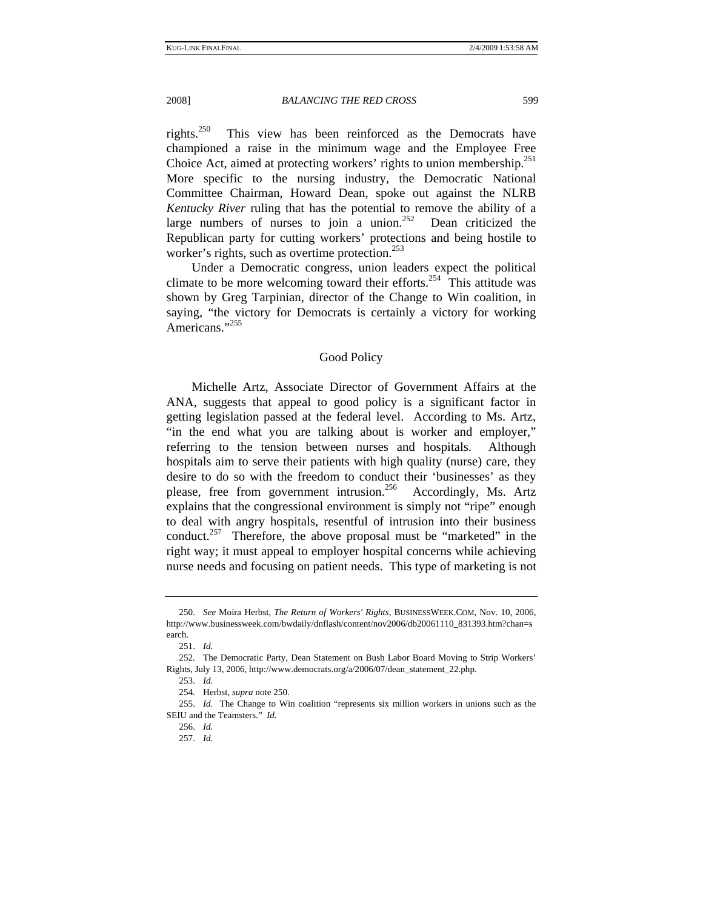rights.250 This view has been reinforced as the Democrats have championed a raise in the minimum wage and the Employee Free Choice Act, aimed at protecting workers' rights to union membership.<sup>251</sup> More specific to the nursing industry, the Democratic National Committee Chairman, Howard Dean, spoke out against the NLRB *Kentucky River* ruling that has the potential to remove the ability of a large numbers of nurses to join a union.<sup>252</sup> Dean criticized the Republican party for cutting workers' protections and being hostile to worker's rights, such as overtime protection.<sup>253</sup>

Under a Democratic congress, union leaders expect the political climate to be more welcoming toward their efforts.<sup>254</sup> This attitude was shown by Greg Tarpinian, director of the Change to Win coalition, in saying, "the victory for Democrats is certainly a victory for working Americans."<sup>255</sup>

# Good Policy

Michelle Artz, Associate Director of Government Affairs at the ANA, suggests that appeal to good policy is a significant factor in getting legislation passed at the federal level. According to Ms. Artz, "in the end what you are talking about is worker and employer," referring to the tension between nurses and hospitals. Although hospitals aim to serve their patients with high quality (nurse) care, they desire to do so with the freedom to conduct their 'businesses' as they please, free from government intrusion.<sup>256</sup> Accordingly, Ms. Artz explains that the congressional environment is simply not "ripe" enough to deal with angry hospitals, resentful of intrusion into their business conduct.<sup>257</sup> Therefore, the above proposal must be "marketed" in the right way; it must appeal to employer hospital concerns while achieving nurse needs and focusing on patient needs. This type of marketing is not

<sup>250.</sup> *See* Moira Herbst, *The Return of Workers' Rights*, BUSINESSWEEK.COM, Nov. 10, 2006, http://www.businessweek.com/bwdaily/dnflash/content/nov2006/db20061110\_831393.htm?chan=s earch.

<sup>251.</sup> *Id.* 

 <sup>252.</sup> The Democratic Party, Dean Statement on Bush Labor Board Moving to Strip Workers' Rights, July 13, 2006, http://www.democrats.org/a/2006/07/dean\_statement\_22.php.

<sup>253.</sup> *Id.* 

 <sup>254.</sup> Herbst, *supra* note 250.

<sup>255.</sup> *Id.* The Change to Win coalition "represents six million workers in unions such as the SEIU and the Teamsters." *Id.*

<sup>256.</sup> *Id.*

<sup>257.</sup> *Id.*